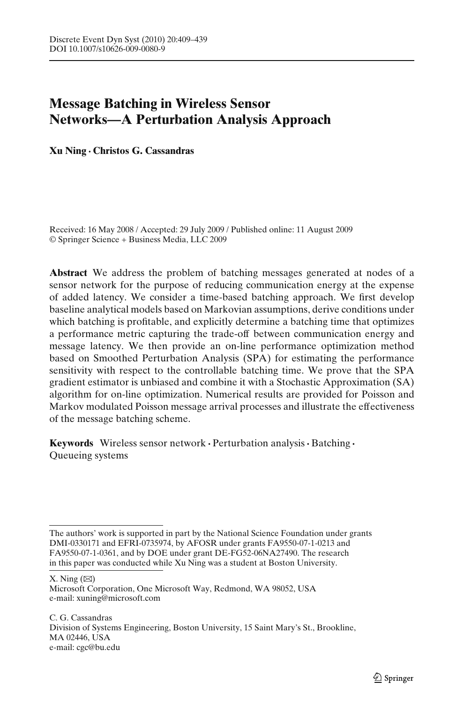# **Message Batching in Wireless Sensor Networks—A Perturbation Analysis Approach**

**Xu Ning · Christos G. Cassandras**

Received: 16 May 2008 / Accepted: 29 July 2009 / Published online: 11 August 2009 © Springer Science + Business Media, LLC 2009

**Abstract** We address the problem of batching messages generated at nodes of a sensor network for the purpose of reducing communication energy at the expense of added latency. We consider a time-based batching approach. We first develop baseline analytical models based on Markovian assumptions, derive conditions under which batching is profitable, and explicitly determine a batching time that optimizes a performance metric capturing the trade-off between communication energy and message latency. We then provide an on-line performance optimization method based on Smoothed Perturbation Analysis (SPA) for estimating the performance sensitivity with respect to the controllable batching time. We prove that the SPA gradient estimator is unbiased and combine it with a Stochastic Approximation (SA) algorithm for on-line optimization. Numerical results are provided for Poisson and Markov modulated Poisson message arrival processes and illustrate the effectiveness of the message batching scheme.

**Keywords** Wireless sensor network **·** Perturbation analysis**·** Batching **·** Queueing systems

 $X.$  Ning  $(\boxtimes)$ 

C. G. Cassandras Division of Systems Engineering, Boston University, 15 Saint Mary's St., Brookline, MA 02446, USA e-mail: cgc@bu.edu

The authors' work is supported in part by the National Science Foundation under grants DMI-0330171 and EFRI-0735974, by AFOSR under grants FA9550-07-1-0213 and FA9550-07-1-0361, and by DOE under grant DE-FG52-06NA27490. The research in this paper was conducted while Xu Ning was a student at Boston University.

Microsoft Corporation, One Microsoft Way, Redmond, WA 98052, USA e-mail: xuning@microsoft.com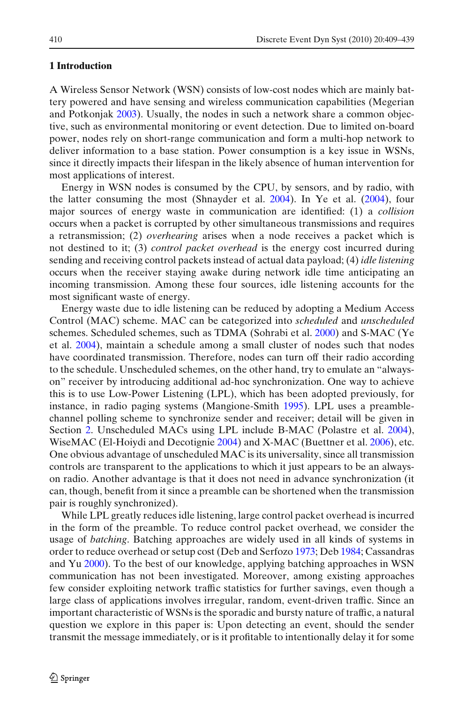#### **1 Introduction**

A Wireless Sensor Network (WSN) consists of low-cost nodes which are mainly battery powered and have sensing and wireless communication capabilities (Megerian and Potkonja[k](#page-29-0) [2003\)](#page-29-0). Usually, the nodes in such a network share a common objective, such as environmental monitoring or event detection. Due to limited on-board power, nodes rely on short-range communication and form a multi-hop network to deliver information to a base station. Power consumption is a key issue in WSNs, since it directly impacts their lifespan in the likely absence of human intervention for most applications of interest.

Energy in WSN nodes is consumed by the CPU, by sensors, and by radio, with the latter consuming the most (Shnayder et al[.](#page-29-0) [2004\)](#page-29-0). In Ye et al[.](#page-29-0) [\(2004\)](#page-29-0), four major sources of energy waste in communication are identified: (1) a *collision* occurs when a packet is corrupted by other simultaneous transmissions and requires a retransmission; (2) *overhearing* arises when a node receives a packet which is not destined to it; (3) *control packet overhead* is the energy cost incurred during sending and receiving control packets instead of actual data payload; (4) *idle listening* occurs when the receiver staying awake during network idle time anticipating an incoming transmission. Among these four sources, idle listening accounts for the most significant waste of energy.

Energy waste due to idle listening can be reduced by adopting a Medium Access Control (MAC) scheme. MAC can be categorized into *scheduled* and *unscheduled* schemes. Scheduled schemes, such as TDMA (Sohrabi et al[.](#page-29-0) [2000\)](#page-29-0) and S-MAC (Ye et al[.](#page-29-0) [2004\)](#page-29-0), maintain a schedule among a small cluster of nodes such that nodes have coordinated transmission. Therefore, nodes can turn off their radio according to the schedule. Unscheduled schemes, on the other hand, try to emulate an "alwayson" receiver by introducing additional ad-hoc synchronization. One way to achieve this is to use Low-Power Listening (LPL), which has been adopted previously, for instance, in radio paging systems (Mangione-Smit[h](#page-29-0) [1995\)](#page-29-0). LPL uses a preamblechannel polling scheme to synchronize sender and receiver; detail will be given in Section [2.](#page-2-0) Unscheduled MACs using LPL include B-MAC (Polastre et al[.](#page-29-0) [2004\)](#page-29-0), WiseMAC (El-Hoiydi and Decotigni[e](#page-29-0) [2004](#page-29-0)) and X-MAC (Buettner et al[.](#page-29-0) [2006\)](#page-29-0), etc. One obvious advantage of unscheduled MAC is its universality, since all transmission controls are transparent to the applications to which it just appears to be an alwayson radio. Another advantage is that it does not need in advance synchronization (it can, though, benefit from it since a preamble can be shortened when the transmission pair is roughly synchronized).

While LPL greatly reduces idle listening, large control packet overhead is incurred in the form of the preamble. To reduce control packet overhead, we consider the usage of *batching*. Batching approaches are widely used in all kinds of systems in order to reduce overhead or setup cost (Deb and Serfoz[o](#page-29-0) [1973;](#page-29-0) De[b](#page-29-0) [1984;](#page-29-0) Cassandras and Y[u](#page-29-0) [2000\)](#page-29-0). To the best of our knowledge, applying batching approaches in WSN communication has not been investigated. Moreover, among existing approaches few consider exploiting network traffic statistics for further savings, even though a large class of applications involves irregular, random, event-driven traffic. Since an important characteristic of WSNs is the sporadic and bursty nature of traffic, a natural question we explore in this paper is: Upon detecting an event, should the sender transmit the message immediately, or is it profitable to intentionally delay it for some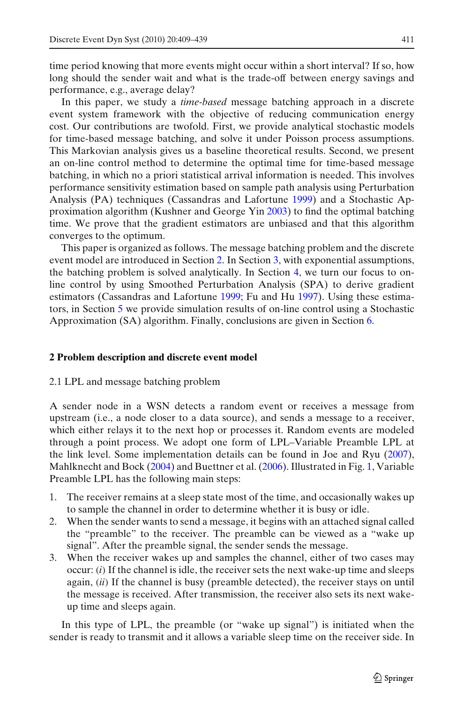<span id="page-2-0"></span>time period knowing that more events might occur within a short interval? If so, how long should the sender wait and what is the trade-off between energy savings and performance, e.g., average delay?

In this paper, we study a *time-based* message batching approach in a discrete event system framework with the objective of reducing communication energy cost. Our contributions are twofold. First, we provide analytical stochastic models for time-based message batching, and solve it under Poisson process assumptions. This Markovian analysis gives us a baseline theoretical results. Second, we present an on-line control method to determine the optimal time for time-based message batching, in which no a priori statistical arrival information is needed. This involves performance sensitivity estimation based on sample path analysis using Perturbation Analysis (PA) techniques (Cassandras and Lafortun[e](#page-29-0) [1999\)](#page-29-0) and a Stochastic Approximation algorithm (Kushner and George Yi[n](#page-29-0) [2003](#page-29-0)) to find the optimal batching time. We prove that the gradient estimators are unbiased and that this algorithm converges to the optimum.

This paper is organized as follows. The message batching problem and the discrete event model are introduced in Section 2. In Section [3,](#page-5-0) with exponential assumptions, the batching problem is solved analytically. In Section [4,](#page-10-0) we turn our focus to online control by using Smoothed Perturbation Analysis (SPA) to derive gradient estimators (Cassandras and Lafortun[e](#page-29-0) [1999](#page-29-0); Fu and H[u](#page-29-0) [1997](#page-29-0)). Using these estimators, in Section [5](#page-26-0) we provide simulation results of on-line control using a Stochastic Approximation (SA) algorithm. Finally, conclusions are given in Section [6.](#page-28-0)

#### **2 Problem description and discrete event model**

#### 2.1 LPL and message batching problem

A sender node in a WSN detects a random event or receives a message from upstream (i.e., a node closer to a data source), and sends a message to a receiver, which either relays it to the next hop or processes it. Random events are modeled through a point process. We adopt one form of LPL–Variable Preamble LPL at the link level. Some implementation details can be found in Joe and Ry[u](#page-29-0) [\(2007\)](#page-29-0), Mahlknecht and Boc[k](#page-29-0) [\(2004\)](#page-29-0) and Buettner et al[.](#page-29-0) [\(2006\)](#page-29-0). Illustrated in Fig. [1,](#page-3-0) Variable Preamble LPL has the following main steps:

- 1. The receiver remains at a sleep state most of the time, and occasionally wakes up to sample the channel in order to determine whether it is busy or idle.
- 2. When the sender wants to send a message, it begins with an attached signal called the "preamble" to the receiver. The preamble can be viewed as a "wake up signal". After the preamble signal, the sender sends the message.
- 3. When the receiver wakes up and samples the channel, either of two cases may occur: (*i*) If the channel is idle, the receiver sets the next wake-up time and sleeps again, (*ii*) If the channel is busy (preamble detected), the receiver stays on until the message is received. After transmission, the receiver also sets its next wakeup time and sleeps again.

In this type of LPL, the preamble (or "wake up signal") is initiated when the sender is ready to transmit and it allows a variable sleep time on the receiver side. In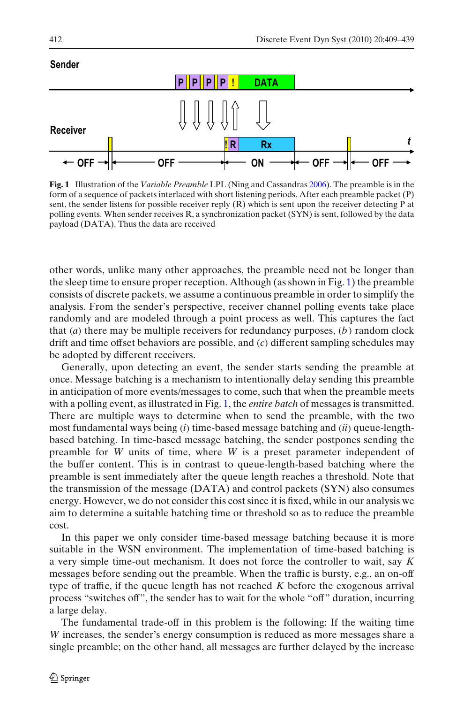<span id="page-3-0"></span>

**Fig. 1** Illustration of the *Variable Preamble* LPL (Ning and Cassandra[s](#page-29-0) [2006](#page-29-0)). The preamble is in the form of a sequence of packets interlaced with short listening periods. After each preamble packet (P) sent, the sender listens for possible receiver reply (R) which is sent upon the receiver detecting P at polling events. When sender receives R, a synchronization packet (SYN) is sent, followed by the data payload (DATA). Thus the data are received

other words, unlike many other approaches, the preamble need not be longer than the sleep time to ensure proper reception. Although (as shown in Fig. 1) the preamble consists of discrete packets, we assume a continuous preamble in order to simplify the analysis. From the sender's perspective, receiver channel polling events take place randomly and are modeled through a point process as well. This captures the fact that (*a*) there may be multiple receivers for redundancy purposes, (*b*) random clock drift and time offset behaviors are possible, and (*c*) different sampling schedules may be adopted by different receivers.

Generally, upon detecting an event, the sender starts sending the preamble at once. Message batching is a mechanism to intentionally delay sending this preamble in anticipation of more events/messages to come, such that when the preamble meets with a polling event, as illustrated in Fig. 1, the *entire batch* of messages is transmitted. There are multiple ways to determine when to send the preamble, with the two most fundamental ways being (*i*) time-based message batching and (*ii*) queue-lengthbased batching. In time-based message batching, the sender postpones sending the preamble for *W* units of time, where *W* is a preset parameter independent of the buffer content. This is in contrast to queue-length-based batching where the preamble is sent immediately after the queue length reaches a threshold. Note that the transmission of the message (DATA) and control packets (SYN) also consumes energy. However, we do not consider this cost since it is fixed, while in our analysis we aim to determine a suitable batching time or threshold so as to reduce the preamble cost.

In this paper we only consider time-based message batching because it is more suitable in the WSN environment. The implementation of time-based batching is a very simple time-out mechanism. It does not force the controller to wait, say *K* messages before sending out the preamble. When the traffic is bursty, e.g., an on-off type of traffic, if the queue length has not reached *K* before the exogenous arrival process "switches off", the sender has to wait for the whole "off" duration, incurring a large delay.

The fundamental trade-off in this problem is the following: If the waiting time *W* increases, the sender's energy consumption is reduced as more messages share a single preamble; on the other hand, all messages are further delayed by the increase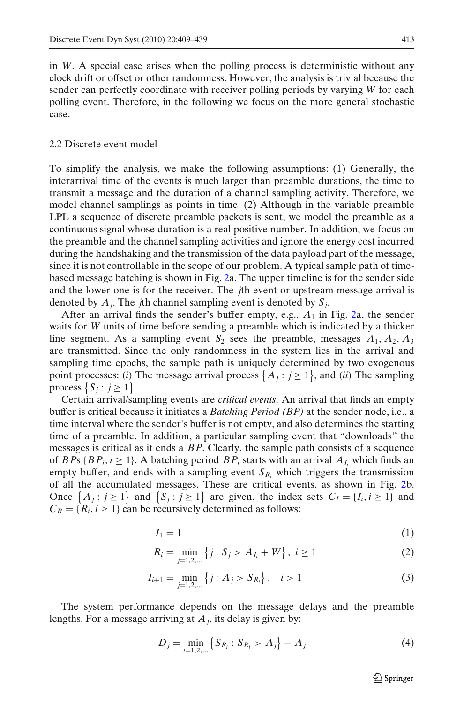<span id="page-4-0"></span>in *W*. A special case arises when the polling process is deterministic without any clock drift or offset or other randomness. However, the analysis is trivial because the sender can perfectly coordinate with receiver polling periods by varying *W* for each polling event. Therefore, in the following we focus on the more general stochastic case.

#### 2.2 Discrete event model

To simplify the analysis, we make the following assumptions: (1) Generally, the interarrival time of the events is much larger than preamble durations, the time to transmit a message and the duration of a channel sampling activity. Therefore, we model channel samplings as points in time. (2) Although in the variable preamble LPL a sequence of discrete preamble packets is sent, we model the preamble as a continuous signal whose duration is a real positive number. In addition, we focus on the preamble and the channel sampling activities and ignore the energy cost incurred during the handshaking and the transmission of the data payload part of the message, since it is not controllable in the scope of our problem. A typical sample path of timebased message batching is shown in Fig. [2a](#page-5-0). The upper timeline is for the sender side and the lower one is for the receiver. The *j*th event or upstream message arrival is denoted by *Aj*. The *j*th channel sampling event is denoted by *Sj*.

After an arrival finds the sender's buffer empty, e.g.,  $A_1$  in Fig. [2a](#page-5-0), the sender waits for *W* units of time before sending a preamble which is indicated by a thicker line segment. As a sampling event  $S_2$  sees the preamble, messages  $A_1, A_2, A_3$ are transmitted. Since the only randomness in the system lies in the arrival and sampling time epochs, the sample path is uniquely determined by two exogenous point processes: (*i*) The message arrival process  $\{A_j : j \ge 1\}$ , and (*ii*) The sampling process  $\{S_j : j \geq 1\}.$ 

Certain arrival/sampling events are *critical events*. An arrival that finds an empty buffer is critical because it initiates a *Batching Period (BP)* at the sender node, i.e., a time interval where the sender's buffer is not empty, and also determines the starting time of a preamble. In addition, a particular sampling event that "downloads" the messages is critical as it ends a *BP*. Clearly, the sample path consists of a sequence of *BP*s { $BP_i$ ,  $i \geq 1$ }. A batching period  $BP_i$  starts with an arrival  $A_i$ , which finds an empty buffer, and ends with a sampling event  $S_R$  which triggers the transmission of all the accumulated messages. These are critical events, as shown in Fig. [2b](#page-5-0). Once  $\{A_j : j \ge 1\}$  and  $\{S_j : j \ge 1\}$  are given, the index sets  $C_I = \{I_i, i \ge 1\}$  and  $C_R = \{R_i, i \geq 1\}$  can be recursively determined as follows:

$$
I_1 = 1 \tag{1}
$$

$$
R_i = \min_{j=1,2,...} \{ j : S_j > A_{I_i} + W \}, i \ge 1
$$
 (2)

$$
I_{i+1} = \min_{j=1,2,\dots} \{ j : A_j > S_{R_i} \}, \quad i > 1
$$
 (3)

The system performance depends on the message delays and the preamble lengths. For a message arriving at *Aj*, its delay is given by:

 $D_j = \min_{i=1,2,...} \{ S_{R_i} : S_{R_i} > A_j \} - A_j$  (4)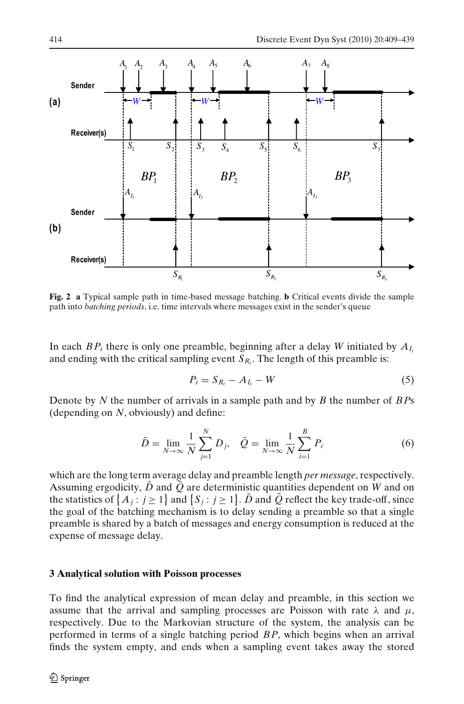<span id="page-5-0"></span>

**Fig. 2 a** Typical sample path in time-based message batching. **b** Critical events divide the sample path into *batching periods*, i.e. time intervals where messages exist in the sender's queue

In each  $BP_i$  there is only one preamble, beginning after a delay *W* initiated by  $A_i$ and ending with the critical sampling event  $S_{R_i}$ . The length of this preamble is:

$$
P_i = S_{R_i} - A_{I_i} - W \tag{5}
$$

Denote by *N* the number of arrivals in a sample path and by *B* the number of *BP*s (depending on *N*, obviously) and define:

$$
\bar{D} = \lim_{N \to \infty} \frac{1}{N} \sum_{j=1}^{N} D_j, \quad \bar{Q} = \lim_{N \to \infty} \frac{1}{N} \sum_{i=1}^{B} P_i
$$
 (6)

which are the long term average delay and preamble length *per message*, respectively. Assuming ergodicity,  $\bar{D}$  and  $\bar{Q}$  are deterministic quantities dependent on *W* and on the statistics of  $\{A_j : j \ge 1\}$  and  $\{S_j : j \ge 1\}$ .  $\overline{D}$  and  $\overline{Q}$  reflect the key trade-off, since the goal of the batching mechanism is to delay sending a preamble so that a single preamble is shared by a batch of messages and energy consumption is reduced at the expense of message delay.

#### **3 Analytical solution with Poisson processes**

To find the analytical expression of mean delay and preamble, in this section we assume that the arrival and sampling processes are Poisson with rate  $\lambda$  and  $\mu$ , respectively. Due to the Markovian structure of the system, the analysis can be performed in terms of a single batching period *BP*, which begins when an arrival finds the system empty, and ends when a sampling event takes away the stored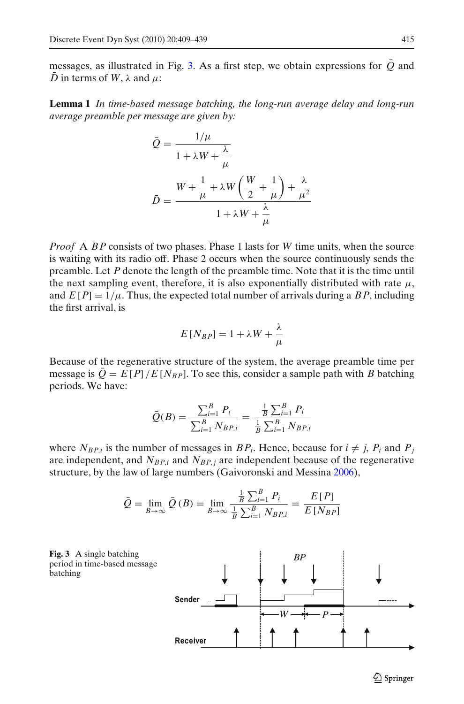**Fig. 3** A single batching

batching

messages, as illustrated in Fig. 3. As a first step, we obtain expressions for *Q*¯ and *D* in terms of *W*,  $\lambda$  and  $\mu$ :

**Lemma 1** *In time-based message batching, the long-run average delay and long-run average preamble per message are given by:*

$$
\bar{Q} = \frac{1/\mu}{1 + \lambda W + \frac{\lambda}{\mu}}
$$
\n
$$
\bar{D} = \frac{W + \frac{1}{\mu} + \lambda W \left(\frac{W}{2} + \frac{1}{\mu}\right) + \frac{\lambda}{\mu^2}}{1 + \lambda W + \frac{\lambda}{\mu}}
$$

*Proof* A *BP* consists of two phases. Phase 1 lasts for *W* time units, when the source is waiting with its radio off. Phase 2 occurs when the source continuously sends the preamble. Let *P* denote the length of the preamble time. Note that it is the time until the next sampling event, therefore, it is also exponentially distributed with rate  $\mu$ , and  $E[P] = 1/\mu$ . Thus, the expected total number of arrivals during a *BP*, including the first arrival, is

$$
E\left[N_{BP}\right] = 1 + \lambda W + \frac{\lambda}{\mu}
$$

Because of the regenerative structure of the system, the average preamble time per message is  $Q = E[P]/E[N_{BP}]$ . To see this, consider a sample path with *B* batching periods. We have:

$$
\bar{Q}(B) = \frac{\sum_{i=1}^{B} P_i}{\sum_{i=1}^{B} N_{BP,i}} = \frac{\frac{1}{B} \sum_{i=1}^{B} P_i}{\frac{1}{B} \sum_{i=1}^{B} N_{BP,i}}
$$

where  $N_{BP,i}$  is the number of messages in  $BP_i$ . Hence, because for  $i \neq j$ ,  $P_i$  and  $P_j$ are independent, and  $N_{BP,i}$  and  $N_{BP,j}$  are independent because of the regenerative structure, by the law of large numbers (Gaivoronski and Messin[a](#page-29-0) [2006](#page-29-0)),

$$
\bar{Q} = \lim_{B \to \infty} \bar{Q}(B) = \lim_{B \to \infty} \frac{\frac{1}{B} \sum_{i=1}^{B} P_i}{\frac{1}{B} \sum_{i=1}^{B} N_{BP,i}} = \frac{E[P]}{E[N_{BP}]}
$$

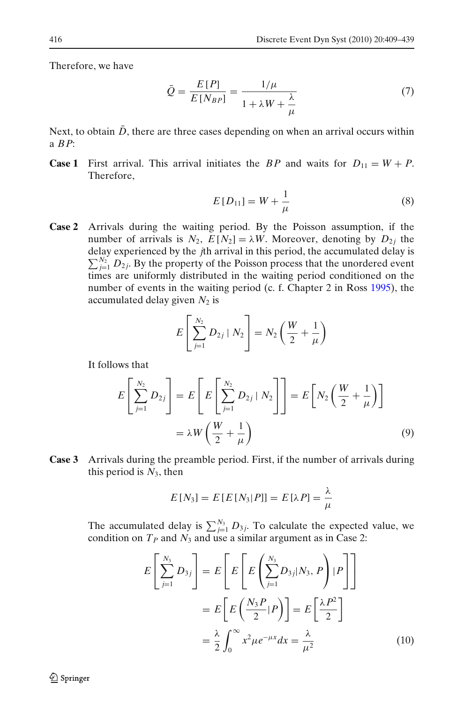<span id="page-7-0"></span>Therefore, we have

$$
\bar{Q} = \frac{E[P]}{E[N_{BP}]} = \frac{1/\mu}{1 + \lambda W + \frac{\lambda}{\mu}}
$$
\n(7)

Next, to obtain  $\bar{D}$ , there are three cases depending on when an arrival occurs within a *BP*:

**Case 1** First arrival. This arrival initiates the *BP* and waits for  $D_{11} = W + P$ . Therefore,

$$
E[D_{11}] = W + \frac{1}{\mu} \tag{8}
$$

**Case 2** Arrivals during the waiting period. By the Poisson assumption, if the number of arrivals is  $N_2$ ,  $E[N_2] = \lambda W$ . Moreover, denoting by  $D_{2i}$  the delay experienced by the *j*th arrival in this period, the accumulated delay is  $\sum_{j=1}^{N_2} D_{2j}$ . By the property of the Poisson process that the unordered event times are uniformly distributed in the waiting period conditioned on the number of events in the waiting period (c. f. Chapter 2 in Ross [1995](#page-29-0)), the accumulated delay given  $N_2$  is

$$
E\left[\sum_{j=1}^{N_2} D_{2j} \mid N_2\right] = N_2 \left(\frac{W}{2} + \frac{1}{\mu}\right)
$$

It follows that

$$
E\left[\sum_{j=1}^{N_2} D_{2j}\right] = E\left[E\left[\sum_{j=1}^{N_2} D_{2j} \mid N_2\right]\right] = E\left[N_2\left(\frac{W}{2} + \frac{1}{\mu}\right)\right]
$$

$$
= \lambda W\left(\frac{W}{2} + \frac{1}{\mu}\right)
$$
(9)

**Case 3** Arrivals during the preamble period. First, if the number of arrivals during this period is  $N_3$ , then

$$
E[N_3] = E[E[N_3|P]] = E[\lambda P] = \frac{\lambda}{\mu}
$$

The accumulated delay is  $\sum_{j=1}^{N_3} D_{3j}$ . To calculate the expected value, we condition on  $T<sub>P</sub>$  and  $N<sub>3</sub>$  and use a similar argument as in Case 2:

$$
E\left[\sum_{j=1}^{N_3} D_{3j}\right] = E\left[E\left(E\left(\sum_{j=1}^{N_3} D_{3j} | N_3, P\right) | P\right]\right]
$$

$$
= E\left[E\left(\frac{N_3 P}{2} | P\right)\right] = E\left[\frac{\lambda P^2}{2}\right]
$$

$$
= \frac{\lambda}{2} \int_0^\infty x^2 \mu e^{-\mu x} dx = \frac{\lambda}{\mu^2}
$$
(10)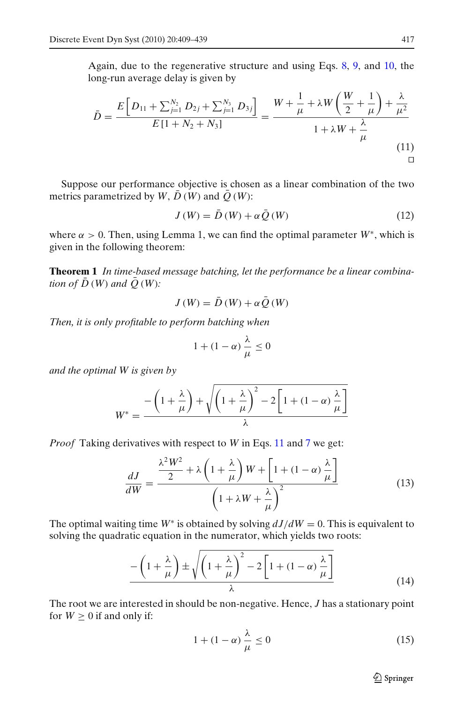<span id="page-8-0"></span>Again, due to the regenerative structure and using Eqs. [8,](#page-7-0) [9,](#page-7-0) and [10,](#page-7-0) the long-run average delay is given by

$$
\bar{D} = \frac{E\left[D_{11} + \sum_{j=1}^{N_2} D_{2j} + \sum_{j=1}^{N_3} D_{3j}\right]}{E\left[1 + N_2 + N_3\right]} = \frac{W + \frac{1}{\mu} + \lambda W\left(\frac{W}{2} + \frac{1}{\mu}\right) + \frac{\lambda}{\mu^2}}{1 + \lambda W + \frac{\lambda}{\mu}}
$$
\n(11)

Suppose our performance objective is chosen as a linear combination of the two metrics parametrized by *W*,  $\bar{D}$  (*W*) and  $\bar{Q}$  (*W*):

$$
J(W) = \bar{D}(W) + \alpha \bar{Q}(W)
$$
\n(12)

where  $\alpha > 0$ . Then, using Lemma 1, we can find the optimal parameter  $W^*$ , which is given in the following theorem:

**Theorem 1** *In time-based message batching, let the performance be a linear combination of*  $\bar{D}$  (*W*) *and*  $\bar{O}$  (*W*)*:* 

$$
J(W) = \bar{D}(W) + \alpha \bar{Q}(W)
$$

*Then, it is only profitable to perform batching when*

$$
1+(1-\alpha)\,\frac{\lambda}{\mu}\leq 0
$$

*and the optimal W is given by*

$$
W^* = \frac{-\left(1 + \frac{\lambda}{\mu}\right) + \sqrt{\left(1 + \frac{\lambda}{\mu}\right)^2 - 2\left[1 + (1 - \alpha)\frac{\lambda}{\mu}\right]}}{\lambda}
$$

*Proof* Taking derivatives with respect to *W* in Eqs. 11 and [7](#page-7-0) we get:

$$
\frac{dJ}{dW} = \frac{\frac{\lambda^2 W^2}{2} + \lambda \left(1 + \frac{\lambda}{\mu}\right) W + \left[1 + (1 - \alpha)\frac{\lambda}{\mu}\right]}{\left(1 + \lambda W + \frac{\lambda}{\mu}\right)^2}
$$
(13)

The optimal waiting time *W*<sup>∗</sup> is obtained by solving  $dJ/dW = 0$ . This is equivalent to solving the quadratic equation in the numerator, which yields two roots:

$$
-\left(1+\frac{\lambda}{\mu}\right) \pm \sqrt{\left(1+\frac{\lambda}{\mu}\right)^2 - 2\left[1+(1-\alpha)\frac{\lambda}{\mu}\right]}
$$
(14)

The root we are interested in should be non-negative. Hence, *J* has a stationary point for  $W > 0$  if and only if:

$$
1 + (1 - \alpha) \frac{\lambda}{\mu} \le 0 \tag{15}
$$

 $\textcircled{2}$  Springer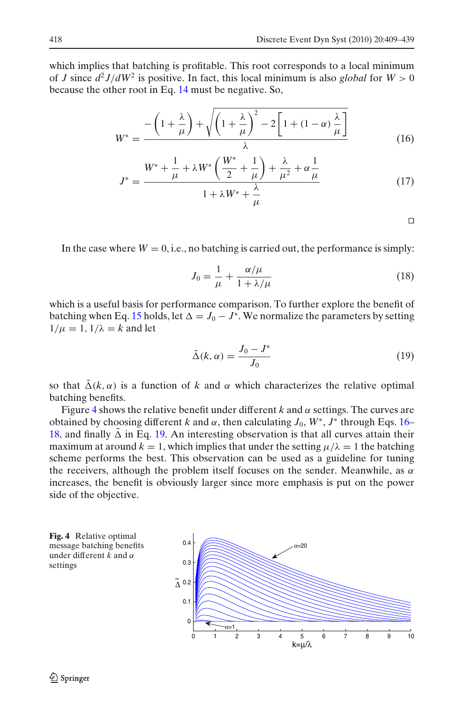which implies that batching is profitable. This root corresponds to a local minimum of *J* since  $d^2 J/dW^2$  is positive. In fact, this local minimum is also *global* for  $W > 0$ because the other root in Eq. [14](#page-8-0) must be negative. So,

$$
W^* = \frac{-\left(1 + \frac{\lambda}{\mu}\right) + \sqrt{\left(1 + \frac{\lambda}{\mu}\right)^2 - 2\left[1 + (1 - \alpha)\frac{\lambda}{\mu}\right]}}{\lambda} \tag{16}
$$

$$
J^* = \frac{W^* + \frac{1}{\mu} + \lambda W^* \left(\frac{W^*}{2} + \frac{1}{\mu}\right) + \frac{\lambda}{\mu^2} + \alpha \frac{1}{\mu}}{1 + \lambda W^* + \frac{\lambda}{\mu}}
$$
(17)

 $\Box$ 

In the case where  $W = 0$ , i.e., no batching is carried out, the performance is simply:

$$
J_0 = \frac{1}{\mu} + \frac{\alpha/\mu}{1 + \lambda/\mu} \tag{18}
$$

which is a useful basis for performance comparison. To further explore the benefit of batching when Eq. [15](#page-8-0) holds, let  $\Delta = J_0 - J^*$ . We normalize the parameters by setting  $1/\mu = 1$ ,  $1/\lambda = k$  and let

$$
\tilde{\Delta}(k,\alpha) = \frac{J_0 - J^*}{J_0} \tag{19}
$$

so that  $\Delta(k, \alpha)$  is a function of k and  $\alpha$  which characterizes the relative optimal batching benefits.

Figure 4 shows the relative benefit under different  $k$  and  $\alpha$  settings. The curves are obtained by choosing different *k* and *α*, then calculating  $J_0$ ,  $W^*$ ,  $J^*$  through Eqs. 16– 18, and finally  $\Delta$  in Eq. 19. An interesting observation is that all curves attain their maximum at around  $k = 1$ , which implies that under the setting  $\mu/\lambda = 1$  the batching scheme performs the best. This observation can be used as a guideline for tuning the receivers, although the problem itself focuses on the sender. Meanwhile, as  $\alpha$ increases, the benefit is obviously larger since more emphasis is put on the power side of the objective.

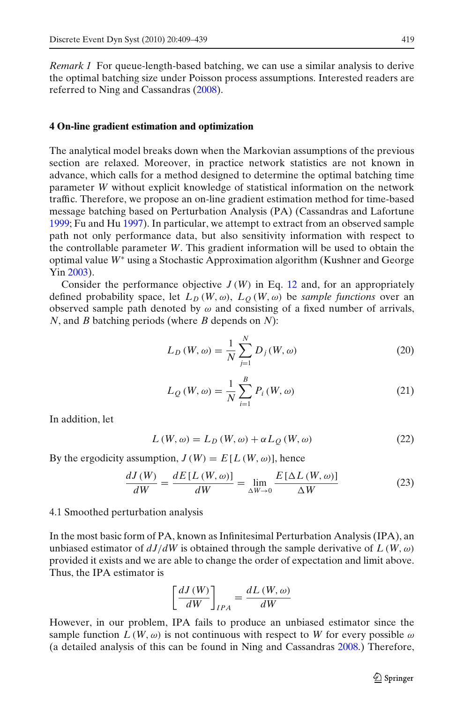<span id="page-10-0"></span>*Remark 1* For queue-length-based batching, we can use a similar analysis to derive the optimal batching size under Poisson process assumptions. Interested readers are referred to Ning and Cassandra[s](#page-29-0) [\(2008](#page-29-0)).

#### **4 On-line gradient estimation and optimization**

The analytical model breaks down when the Markovian assumptions of the previous section are relaxed. Moreover, in practice network statistics are not known in advance, which calls for a method designed to determine the optimal batching time parameter *W* without explicit knowledge of statistical information on the network traffic. Therefore, we propose an on-line gradient estimation method for time-based message batching based on Perturbation Analysis (PA) (Cassandras and Lafortun[e](#page-29-0) [1999;](#page-29-0) Fu and H[u](#page-29-0) [1997\)](#page-29-0). In particular, we attempt to extract from an observed sample path not only performance data, but also sensitivity information with respect to the controllable parameter *W*. This gradient information will be used to obtain the optimal value *W*<sup>∗</sup> using a Stochastic Approximation algorithm (Kushner and George Yi[n](#page-29-0) [2003](#page-29-0)).

Consider the performance objective  $J(W)$  in Eq. [12](#page-8-0) and, for an appropriately defined probability space, let  $L_D(W, \omega)$ ,  $L_O(W, \omega)$  be *sample functions* over an observed sample path denoted by  $\omega$  and consisting of a fixed number of arrivals, *N*, and *B* batching periods (where *B* depends on *N*):

$$
L_D(W, \omega) = \frac{1}{N} \sum_{j=1}^{N} D_j(W, \omega)
$$
 (20)

$$
L_{Q}(W,\omega) = \frac{1}{N} \sum_{i=1}^{B} P_{i}(W,\omega)
$$
 (21)

In addition, let

$$
L(W, \omega) = L_D(W, \omega) + \alpha L_Q(W, \omega)
$$
\n(22)

By the ergodicity assumption,  $J(W) = E[L(W, \omega)]$ , hence

$$
\frac{dJ(W)}{dW} = \frac{dE[L(W, \omega)]}{dW} = \lim_{\Delta W \to 0} \frac{E[\Delta L(W, \omega)]}{\Delta W}
$$
(23)

#### 4.1 Smoothed perturbation analysis

In the most basic form of PA, known as Infinitesimal Perturbation Analysis (IPA), an unbiased estimator of  $dJ/dW$  is obtained through the sample derivative of  $L(W, \omega)$ provided it exists and we are able to change the order of expectation and limit above. Thus, the IPA estimator is

$$
\left[\frac{dJ\left(W\right)}{dW}\right]_{IPA} = \frac{dL\left(W,\omega\right)}{dW}
$$

However, in our problem, IPA fails to produce an unbiased estimator since the sample function  $L(W, \omega)$  is not continuous with respect to W for every possible  $\omega$ (a detailed analysis of this can be found in Ning and Cassandras [2008](#page-29-0).) Therefore,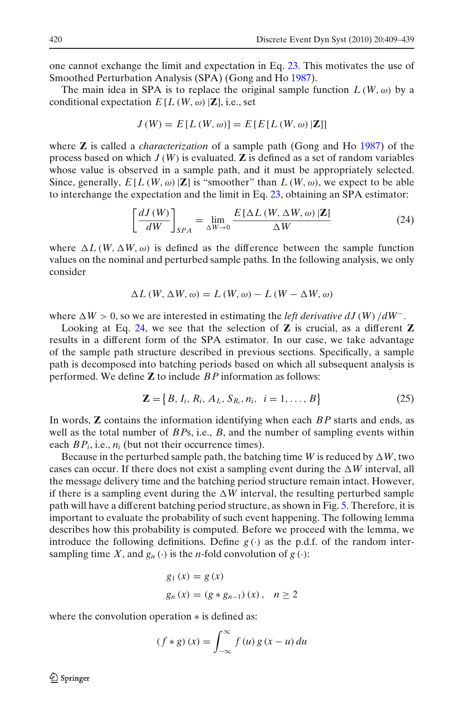<span id="page-11-0"></span>one cannot exchange the limit and expectation in Eq. [23.](#page-10-0) This motivates the use of Smoothed Perturbation Analysis (SPA) (Gong and H[o](#page-29-0) [1987\)](#page-29-0).

The main idea in SPA is to replace the original sample function  $L(W, \omega)$  by a conditional expectation  $E[L(W, \omega)|\mathbf{Z}]$ , i.e., set

$$
J(W) = E[L(W, \omega)] = E[E[L(W, \omega) | \mathbf{Z}]]
$$

where **Z** is called a *characterization* of a sample path (Gong and H[o](#page-29-0) [1987](#page-29-0)) of the process based on which  $J(W)$  is evaluated. **Z** is defined as a set of random variables whose value is observed in a sample path, and it must be appropriately selected. Since, generally,  $E[L(W, \omega) | \mathbf{Z}]$  is "smoother" than  $L(W, \omega)$ , we expect to be able to interchange the expectation and the limit in Eq. [23,](#page-10-0) obtaining an SPA estimator:

$$
\left[\frac{dJ(W)}{dW}\right]_{SPA} = \lim_{\Delta W \to 0} \frac{E[\Delta L(W, \Delta W, \omega) | \mathbf{Z}]}{\Delta W}
$$
(24)

where  $\Delta L(W, \Delta W, \omega)$  is defined as the difference between the sample function values on the nominal and perturbed sample paths. In the following analysis, we only consider

$$
\Delta L(W, \Delta W, \omega) = L(W, \omega) - L(W - \Delta W, \omega)
$$

where  $\Delta W > 0$ , so we are interested in estimating the *left derivative dJ* (*W*) /*dW*<sup>−</sup>.

Looking at Eq. 24, we see that the selection of **Z** is crucial, as a different **Z** results in a different form of the SPA estimator. In our case, we take advantage of the sample path structure described in previous sections. Specifically, a sample path is decomposed into batching periods based on which all subsequent analysis is performed. We define **Z** to include *BP* information as follows:

$$
\mathbf{Z} = \{B, I_i, R_i, A_{I_i}, S_{R_i}, n_i, i = 1, ..., B\}
$$
 (25)

In words, **Z** contains the information identifying when each *BP* starts and ends, as well as the total number of *BP*s, i.e., *B*, and the number of sampling events within each  $BP_i$ , i.e.,  $n_i$  (but not their occurrence times).

Because in the perturbed sample path, the batching time *W* is reduced by  $\Delta W$ , two cases can occur. If there does not exist a sampling event during the  $\Delta W$  interval, all the message delivery time and the batching period structure remain intact. However, if there is a sampling event during the  $\Delta W$  interval, the resulting perturbed sample path will have a different batching period structure, as shown in Fig. [5.](#page-12-0) Therefore, it is important to evaluate the probability of such event happening. The following lemma describes how this probability is computed. Before we proceed with the lemma, we introduce the following definitions. Define  $g(\cdot)$  as the p.d.f. of the random intersampling time X, and  $g_n(\cdot)$  is the *n*-fold convolution of  $g(\cdot)$ :

$$
g_1(x) = g(x)
$$
  
\n $g_n(x) = (g * g_{n-1})(x), \quad n \ge 2$ 

where the convolution operation  $∗$  is defined as:

$$
(f * g)(x) = \int_{-\infty}^{\infty} f(u) g(x - u) du
$$

2 Springer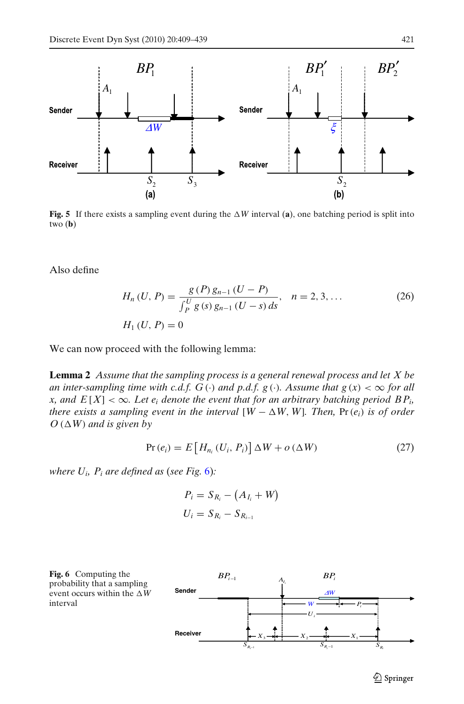<span id="page-12-0"></span>

**Fig. 5** If there exists a sampling event during the  $\Delta W$  interval (a), one batching period is split into two (**b**)

Also define

$$
H_n(U, P) = \frac{g(P) g_{n-1} (U - P)}{\int_P^U g(s) g_{n-1} (U - s) ds}, \quad n = 2, 3, ...
$$
\n
$$
H_1(U, P) = 0
$$
\n(26)

We can now proceed with the following lemma:

**Lemma 2** *Assume that the sampling process is a general renewal process and let X be an inter-sampling time with c.d.f.*  $G(\cdot)$  *and p.d.f.*  $g(\cdot)$ *. Assume that*  $g(x) < \infty$  *for all x*, and  $E[X] < \infty$ *. Let e<sub>i</sub>* denote the event that for an arbitrary batching period  $BP_i$ , *there exists a sampling event in the interval*  $[W - \Delta W, W]$ *. Then,* Pr( $e_i$ ) *is of order*  $O(\Delta W)$  *and is given by* 

$$
Pr(e_i) = E\left[H_{n_i}(U_i, P_i)\right] \Delta W + o\left(\Delta W\right) \tag{27}
$$

*where*  $U_i$ *,*  $P_i$  *are defined as (see Fig. 6):* 

$$
P_i = S_{R_i} - (A_{I_i} + W)
$$
  

$$
U_i = S_{R_i} - S_{R_{i-1}}
$$

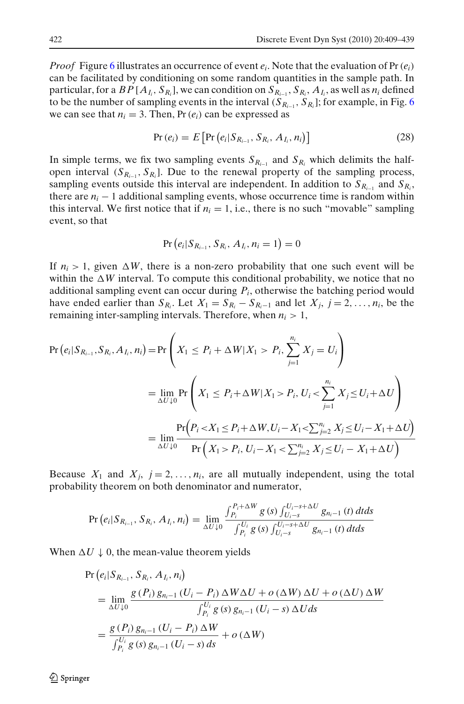<span id="page-13-0"></span>*Proof* Figure [6](#page-12-0) illustrates an occurrence of event  $e_i$ . Note that the evaluation of Pr( $e_i$ ) can be facilitated by conditioning on some random quantities in the sample path. In particular, for a  $BP[A_{I_i}, S_{R_i}]$ , we can condition on  $S_{R_{i-1}}, S_{R_i}, A_{I_i}$ , as well as  $n_i$  defined to be the number of sampling events in the interval (*SRi*<sup>−</sup><sup>1</sup> , *SRi* ]; for example, in Fig. [6](#page-12-0) we can see that  $n_i = 3$ . Then, Pr( $e_i$ ) can be expressed as

$$
Pr(e_i) = E[Pr(e_i|S_{R_{i-1}}, S_{R_i}, A_{I_i}, n_i)]
$$
\n(28)

In simple terms, we fix two sampling events  $S_{R_i}$  and  $S_{R_i}$  which delimits the halfopen interval (*SRi*<sup>−</sup><sup>1</sup> , *SRi* ]. Due to the renewal property of the sampling process, sampling events outside this interval are independent. In addition to *S<sub>R<sub>i−1</sub>* and *S<sub>R<sub>i</sub></sub>*,</sub> there are  $n_i - 1$  additional sampling events, whose occurrence time is random within this interval. We first notice that if  $n<sub>i</sub> = 1$ , i.e., there is no such "movable" sampling event, so that

$$
Pr(e_i|S_{R_{i-1}}, S_{R_i}, A_{I_i}, n_i=1)=0
$$

If  $n_i > 1$ , given  $\Delta W$ , there is a non-zero probability that one such event will be within the  $\Delta W$  interval. To compute this conditional probability, we notice that no additional sampling event can occur during *Pi*, otherwise the batching period would have ended earlier than  $S_{R_i}$ . Let  $X_1 = S_{R_i} - S_{R_i-1}$  and let  $X_j$ ,  $j = 2, \ldots, n_i$ , be the remaining inter-sampling intervals. Therefore, when  $n_i > 1$ ,

$$
\Pr(e_i|S_{R_{i-1}}, S_{R_i}, A_{I_i}, n_i) = \Pr\left(X_1 \le P_i + \Delta W | X_1 > P_i, \sum_{j=1}^{n_i} X_j = U_i\right)
$$
\n
$$
= \lim_{\Delta U \downarrow 0} \Pr\left(X_1 \le P_i + \Delta W | X_1 > P_i, U_i < \sum_{j=1}^{n_i} X_j \le U_i + \Delta U\right)
$$
\n
$$
= \lim_{\Delta U \downarrow 0} \frac{\Pr\left(P_i < X_1 \le P_i + \Delta W, U_i - X_1 < \sum_{j=2}^{n_i} X_j \le U_i - X_1 + \Delta U\right)}{\Pr\left(X_1 > P_i, U_i - X_1 < \sum_{j=2}^{n_i} X_j \le U_i - X_1 + \Delta U\right)}
$$

Because  $X_1$  and  $X_j$ ,  $j = 2, \ldots, n_i$ , are all mutually independent, using the total probability theorem on both denominator and numerator,

$$
\Pr\left(e_i|S_{R_{i-1}}, S_{R_i}, A_{I_i}, n_i\right) = \lim_{\Delta U \downarrow 0} \frac{\int_{P_i}^{P_i + \Delta W} g\left(s\right) \int_{U_i - s}^{U_i - s + \Delta U} g_{n_i - 1}\left(t\right) dt ds}{\int_{P_i}^{U_i} g\left(s\right) \int_{U_i - s}^{U_i - s + \Delta U} g_{n_i - 1}\left(t\right) dt ds}
$$

When  $\Delta U \downarrow 0$ , the mean-value theorem yields

$$
\Pr(e_i|S_{R_{i-1}}, S_{R_i}, A_{I_i}, n_i) \n= \lim_{\Delta U \downarrow 0} \frac{g(P_i) g_{n_i-1} (U_i - P_i) \Delta W \Delta U + o(\Delta W) \Delta U + o(\Delta U) \Delta W}{\int_{P_i}^{U_i} g(s) g_{n_i-1} (U_i - s) \Delta U ds} \n= \frac{g(P_i) g_{n_i-1} (U_i - P_i) \Delta W}{\int_{P_i}^{U_i} g(s) g_{n_i-1} (U_i - s) ds} + o(\Delta W)
$$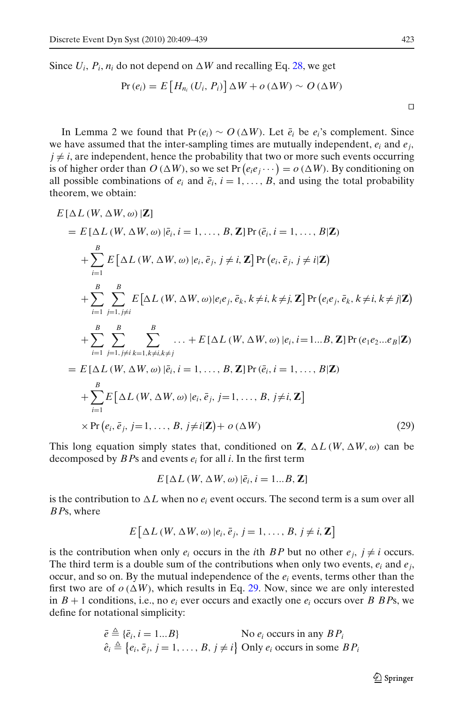$E$   $\left| \frac{1}{2}$   $\right|$   $\left| \frac{1}{2} \right|$   $\left| \frac{1}{2} \right|$ 

<span id="page-14-0"></span>Since  $U_i$ ,  $P_i$ ,  $n_i$  do not depend on  $\Delta W$  and recalling Eq. [28,](#page-13-0) we get

$$
Pr(e_i) = E\left[H_{n_i}\left(U_i, P_i\right)\right] \Delta W + o\left(\Delta W\right) \sim O\left(\Delta W\right)
$$

In Lemma 2 we found that Pr( $e_i$ ) ∼  $O(\Delta W)$ . Let  $\bar{e}_i$  be  $e_i$ 's complement. Since we have assumed that the inter-sampling times are mutually independent,  $e_i$  and  $e_j$ ,  $j \neq i$ , are independent, hence the probability that two or more such events occurring is of higher order than  $O(\Delta W)$ , so we set Pr  $(e_i e_j \cdots) = o(\Delta W)$ . By conditioning on all possible combinations of  $e_i$  and  $\bar{e}_i$ ,  $i = 1, \ldots, B$ , and using the total probability theorem, we obtain:

$$
E[\Delta L(W, \Delta W, \omega) | \mathbf{Z}]
$$
  
\n
$$
= E[\Delta L(W, \Delta W, \omega) | \bar{e}_i, i = 1, ..., B, \mathbf{Z}] Pr (\bar{e}_i, i = 1, ..., B | \mathbf{Z})
$$
  
\n
$$
+ \sum_{i=1}^{B} E[\Delta L(W, \Delta W, \omega) | e_i, \bar{e}_j, j \neq i, \mathbf{Z}] Pr (e_i, \bar{e}_j, j \neq i | \mathbf{Z})
$$
  
\n
$$
+ \sum_{i=1}^{B} \sum_{j=1, j \neq i}^{B} E[\Delta L(W, \Delta W, \omega) | e_i e_j, \bar{e}_k, k \neq i, k \neq j, \mathbf{Z}] Pr (e_i e_j, \bar{e}_k, k \neq i, k \neq j | \mathbf{Z})
$$
  
\n
$$
+ \sum_{i=1}^{B} \sum_{j=1, j \neq i}^{B} \sum_{k=1, k \neq i, k \neq j}^{B} ... + E[\Delta L(W, \Delta W, \omega) | e_i, i = 1...B, \mathbf{Z}] Pr (e_1 e_2...e_B | \mathbf{Z})
$$
  
\n
$$
= E[\Delta L(W, \Delta W, \omega) | \bar{e}_i, i = 1, ..., B, \mathbf{Z}] Pr (\bar{e}_i, i = 1, ..., B | \mathbf{Z})
$$
  
\n
$$
+ \sum_{i=1}^{B} E[\Delta L(W, \Delta W, \omega) | e_i, \bar{e}_j, j = 1, ..., B, j \neq i, \mathbf{Z}]
$$
  
\n
$$
\times Pr (e_i, \bar{e}_j, j = 1, ..., B, j \neq i | \mathbf{Z}) + o(\Delta W)
$$
 (29)

This long equation simply states that, conditioned on **Z**,  $\Delta L(W, \Delta W, \omega)$  can be decomposed by *BP*s and events *ei* for all *i*. In the first term

$$
E\left[\Delta L\left(W,\Delta W,\omega\right)|\bar{e}_i,i=1...B,\mathbf{Z}\right]
$$

is the contribution to  $\Delta L$  when no  $e_i$  event occurs. The second term is a sum over all *BP*s, where

$$
E\big[\Delta L(W, \Delta W, \omega) | e_i, \bar{e}_j, j = 1, \ldots, B, j \neq i, \mathbf{Z}\big]
$$

is the contribution when only  $e_i$  occurs in the *i*th *BP* but no other  $e_i$ ,  $j \neq i$  occurs. The third term is a double sum of the contributions when only two events,  $e_i$  and  $e_j$ , occur, and so on. By the mutual independence of the  $e_i$  events, terms other than the first two are of  $o(\Delta W)$ , which results in Eq. 29. Now, since we are only interested in *B* + 1 conditions, i.e., no *ei* ever occurs and exactly one *ei* occurs over *B BP*s, we define for notational simplicity:

$$
\bar{e} \triangleq {\bar{e}_i, i = 1...B} \qquad \text{No } e_i \text{ occurs in any } BP_i
$$
\n
$$
\hat{e}_i \triangleq {\bar{e}_i, \bar{e}_j, j = 1, ..., B, j \neq i} \qquad \text{Only } e_i \text{ occurs in some } BP_i
$$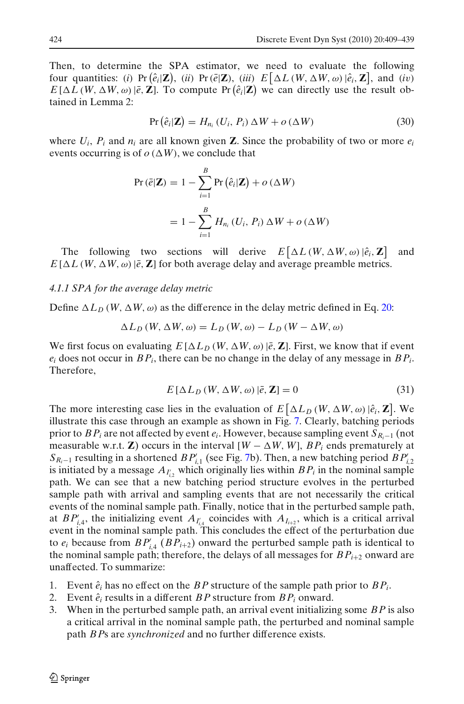<span id="page-15-0"></span>Then, to determine the SPA estimator, we need to evaluate the following four quantities: (*i*) Pr  $(\hat{e}_i | \mathbf{Z})$ , (*ii*) Pr  $(\bar{e} | \mathbf{Z})$ , (*iii*)  $E[\Delta L(W, \Delta W, \omega)|\hat{e}_i, \mathbf{Z}]$ , and (*iv*)  $E[\Delta L(W, \Delta W, \omega) | \bar{e}, \mathbf{Z}]$ . To compute Pr  $(\hat{e}_i | \mathbf{Z})$  we can directly use the result obtained in Lemma 2:

$$
Pr(\hat{e}_i|\mathbf{Z}) = H_{n_i}(U_i, P_i) \Delta W + o(\Delta W)
$$
\n(30)

where  $U_i$ ,  $P_i$  and  $n_i$  are all known given **Z**. Since the probability of two or more  $e_i$ events occurring is of  $o(\Delta W)$ , we conclude that

$$
\Pr\left(\bar{e}|\mathbf{Z}\right) = 1 - \sum_{i=1}^{B} \Pr\left(\hat{e}_i|\mathbf{Z}\right) + o\left(\Delta W\right)
$$
\n
$$
= 1 - \sum_{i=1}^{B} H_{n_i}\left(U_i, P_i\right) \Delta W + o\left(\Delta W\right)
$$

The following two sections will derive  $E[\Delta L(W, \Delta W, \omega) | \hat{e}_i, \mathbf{Z}]$  and  $E[\Delta L(W, \Delta W, \omega)]$ *e*, **Z**] for both average delay and average preamble metrics.

#### *4.1.1 SPA for the average delay metric*

Define  $\Delta L_D$  (*W*,  $\Delta W$ ,  $\omega$ ) as the difference in the delay metric defined in Eq. [20:](#page-10-0)

$$
\Delta L_D(W, \Delta W, \omega) = L_D(W, \omega) - L_D(W - \Delta W, \omega)
$$

We first focus on evaluating  $E[\Delta L_D(W, \Delta W, \omega)]\bar{e}, Z$ . First, we know that if event  $e_i$  does not occur in  $BP_i$ , there can be no change in the delay of any message in  $BP_i$ . Therefore,

$$
E\left[\Delta L_D\left(W,\Delta W,\omega\right)|\bar{e},\mathbf{Z}\right] = 0\tag{31}
$$

The more interesting case lies in the evaluation of  $E[\Delta L_D(W, \Delta W, \omega) | \hat{e}_i, \mathbf{Z}]$ . We illustrate this case through an example as shown in Fig. [7.](#page-16-0) Clearly, batching periods prior to *BP<sub>i</sub>* are not affected by event  $e_i$ . However, because sampling event  $S_{R_i-1}$  (not measurable w.r.t. **Z**) occurs in the interval  $[W - \Delta W, W]$ ,  $BP_i$  ends prematurely at  $S_{R_i-1}$  resulting in a shortened  $BP'_{i,1}$  (see Fig. [7b](#page-16-0)). Then, a new batching period  $BP'_{i,2}$ is initiated by a message  $A_{I'_{i,2}}$  which originally lies within  $BP_i$  in the nominal sample path. We can see that a new batching period structure evolves in the perturbed sample path with arrival and sampling events that are not necessarily the critical events of the nominal sample path. Finally, notice that in the perturbed sample path, at  $BP'_{i,4}$ , the initializing event  $A_{I'_{i,4}}$  coincides with  $A_{I_{i+2}}$ , which is a critical arrival event in the nominal sample path. This concludes the effect of the perturbation due to  $e_i$  because from  $BP'_{i,4}$  ( $BP_{i+2}$ ) onward the perturbed sample path is identical to the nominal sample path; therefore, the delays of all messages for  $BP_{i+2}$  onward are unaffected. To summarize:

- 1. Event  $\hat{e}_i$  has no effect on the *BP* structure of the sample path prior to *BP<sub>i</sub>*.
- 2. Event  $\hat{e}_i$  results in a different  $BP$  structure from  $BP_i$  onward.
- 3. When in the perturbed sample path, an arrival event initializing some *BP* is also a critical arrival in the nominal sample path, the perturbed and nominal sample path *BP*s are *synchronized* and no further difference exists.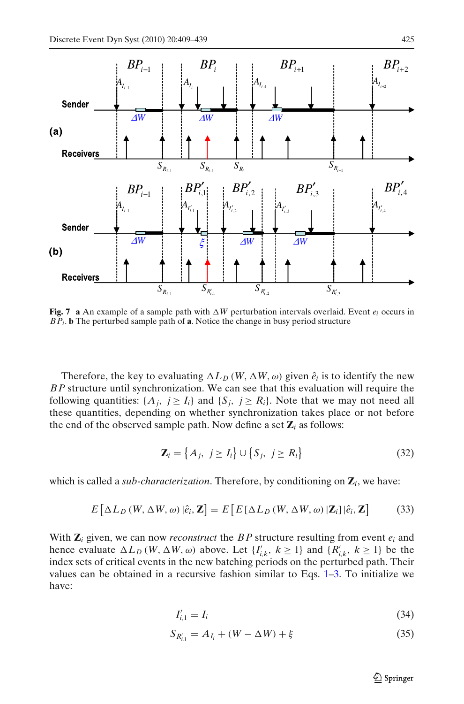<span id="page-16-0"></span>

**Fig. 7** a An example of a sample path with  $\Delta W$  perturbation intervals overlaid. Event  $e_i$  occurs in *BPi*. **b** The perturbed sample path of **a**. Notice the change in busy period structure

Therefore, the key to evaluating  $\Delta L_D(W, \Delta W, \omega)$  given  $\hat{e}_i$  is to identify the new *BP* structure until synchronization. We can see that this evaluation will require the following quantities:  $\{A_i, j \geq I_i\}$  and  $\{S_i, j \geq R_i\}$ . Note that we may not need all these quantities, depending on whether synchronization takes place or not before the end of the observed sample path. Now define a set  $\mathbf{Z}_i$  as follows:

$$
\mathbf{Z}_i = \{A_j, j \ge I_i\} \cup \{S_j, j \ge R_i\} \tag{32}
$$

which is called a *sub-characterization*. Therefore, by conditioning on  $\mathbf{Z}_i$ , we have:

$$
E\left[\Delta L_D\left(W,\Delta W,\omega\right)|\hat{e}_i,\mathbf{Z}\right] = E\left[E\left[\Delta L_D\left(W,\Delta W,\omega\right)|\mathbf{Z}_i\right]|\hat{e}_i,\mathbf{Z}\right] \tag{33}
$$

With  $\mathbf{Z}_i$  given, we can now *reconstruct* the  $BP$  structure resulting from event  $e_i$  and hence evaluate  $\Delta L_D(W, \Delta W, \omega)$  above. Let  $\{I'_{i,k}, k \geq 1\}$  and  $\{R'_{i,k}, k \geq 1\}$  be the index sets of critical events in the new batching periods on the perturbed path. Their values can be obtained in a recursive fashion similar to Eqs. [1–3.](#page-4-0) To initialize we have:

$$
I'_{i,1} = I_i \tag{34}
$$

$$
S_{R'_{i,1}} = A_{I_i} + (W - \Delta W) + \xi \tag{35}
$$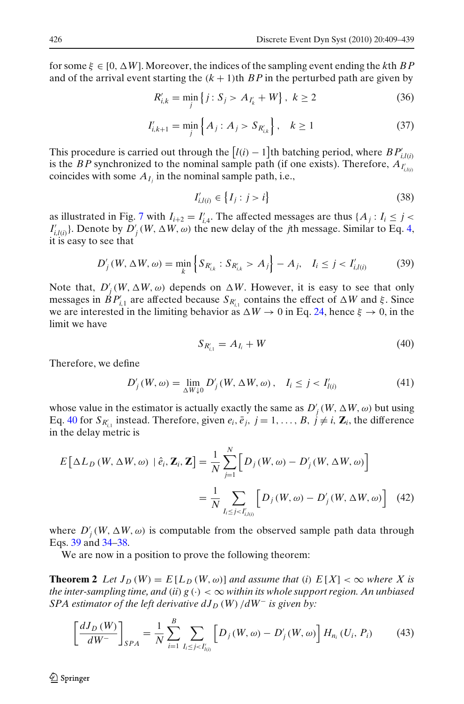<span id="page-17-0"></span>for some  $\xi \in [0, \Delta W]$ . Moreover, the indices of the sampling event ending the *k*th *BP* and of the arrival event starting the  $(k + 1)$ th *BP* in the perturbed path are given by

$$
R'_{i,k} = \min_{j} \{ j : S_j > A_{I'_k} + W \}, k \ge 2
$$
 (36)

$$
I'_{i,k+1} = \min_{j} \left\{ A_j : A_j > S_{R'_{i,k}} \right\}, \quad k \ge 1
$$
 (37)

This procedure is carried out through the  $\left[l(i) - 1\right]$ th batching period, where  $BP'_{i,l(i)}$ is the *BP* synchronized to the nominal sample path (if one exists). Therefore,  $A_{I'_{i,l(i)}}$ coincides with some  $A_{I_i}$  in the nominal sample path, i.e.,

$$
I'_{i,l(i)} \in \left\{ I_j : j > i \right\} \tag{38}
$$

as illustrated in Fig. [7](#page-16-0) with  $I_{i+2} = I'_{i,4}$ . The affected messages are thus  $\{A_j : I_i \leq j <$ *I*<sub>*i*,*l*(*i*)</sub>. Denote by  $D'_j(W, \Delta W, \omega)$  the new delay of the *j*th message. Similar to Eq. [4,](#page-4-0) it is easy to see that

$$
D'_{j}(W, \Delta W, \omega) = \min_{k} \left\{ S_{R'_{i,k}} : S_{R'_{i,k}} > A_{j} \right\} - A_{j}, \quad I_{i} \leq j < I'_{i,l(i)}
$$
(39)

Note that,  $D'_{j}(W, \Delta W, \omega)$  depends on  $\Delta W$ . However, it is easy to see that only messages in  $BP'_{i,1}$  are affected because  $S_{R'_{i,1}}$  contains the effect of  $\Delta W$  and  $\xi$ . Since we are interested in the limiting behavior as  $\Delta W \rightarrow 0$  in Eq. [24,](#page-11-0) hence  $\xi \rightarrow 0$ , in the limit we have

$$
S_{R'_{i,1}} = A_{I_i} + W \tag{40}
$$

Therefore, we define

$$
D'_{j}(W,\omega) = \lim_{\Delta W \downarrow 0} D'_{j}(W,\Delta W,\omega), \quad I_{i} \leq j < I'_{l(i)} \tag{41}
$$

whose value in the estimator is actually exactly the same as  $D'_{j}(W, \Delta W, \omega)$  but using Eq. 40 for  $S_{R'_{i,1}}$  instead. Therefore, given  $e_i$ ,  $\bar{e}_j$ ,  $j = 1, \ldots, B$ ,  $j \neq i$ ,  $\mathbf{Z}_i$ , the difference in the delay metric is

$$
E\left[\Delta L_D(W, \Delta W, \omega) \mid \hat{e}_i, \mathbf{Z}_i, \mathbf{Z}\right] = \frac{1}{N} \sum_{j=1}^N \left[D_j(W, \omega) - D'_j(W, \Delta W, \omega)\right]
$$

$$
= \frac{1}{N} \sum_{I_i \le j < I'_{i, l(i)}} \left[D_j(W, \omega) - D'_j(W, \Delta W, \omega)\right] \tag{42}
$$

where  $D'_{j}(W, \Delta W, \omega)$  is computable from the observed sample path data through Eqs. 39 and [34–](#page-16-0)38.

We are now in a position to prove the following theorem:

**Theorem 2** Let  $J_D(W) = E[L_D(W, \omega)]$  and assume that (*i*)  $E[X] < \infty$  where X is *the inter-sampling time, and (ii)*  $g(\cdot) < \infty$  *within its whole support region. An unbiased SPA estimator of the left derivative*  $dJ_D(W) / dW^-$  *is given by:* 

$$
\left[\frac{dJ_D(W)}{dW}\right]_{SPA} = \frac{1}{N} \sum_{i=1}^{B} \sum_{I_i \le j < I'_{i(0)}} \left[D_j(W, \omega) - D'_j(W, \omega)\right] H_{n_i}(U_i, P_i) \tag{43}
$$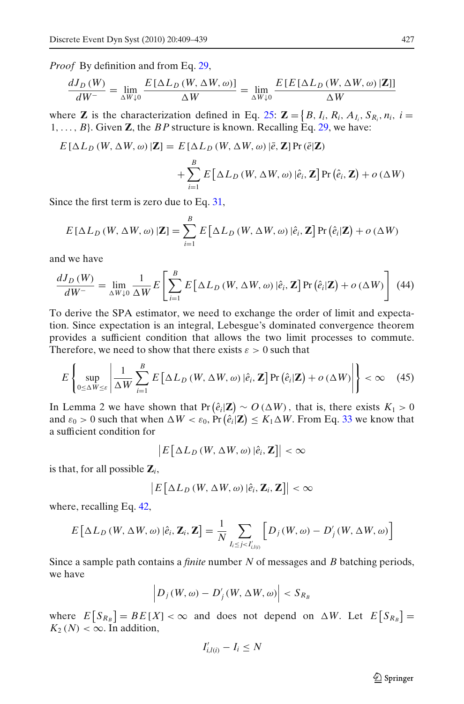<span id="page-18-0"></span>*Proof* By definition and from Eq. [29,](#page-14-0)

$$
\frac{dJ_D(W)}{dW^-} = \lim_{\Delta W \downarrow 0} \frac{E[\Delta L_D(W, \Delta W, \omega)]}{\Delta W} = \lim_{\Delta W \downarrow 0} \frac{E[E[\Delta L_D(W, \Delta W, \omega) | \mathbf{Z}]]}{\Delta W}
$$

where **Z** is the characterization defined in Eq. [25:](#page-11-0)  $\mathbf{Z} = \{B, I_i, R_i, A_{I_i}, S_{R_i}, n_i, i =$ 1,...,  $B$ . Given **Z**, the *BP* structure is known. Recalling Eq. [29,](#page-14-0) we have:

$$
E[\Delta L_D(W, \Delta W, \omega) | \mathbf{Z}] = E[\Delta L_D(W, \Delta W, \omega) | \bar{e}, \mathbf{Z}] Pr(\bar{e} | \mathbf{Z})
$$

$$
+ \sum_{i=1}^{B} E[\Delta L_D(W, \Delta W, \omega) | \hat{e}_i, \mathbf{Z}] Pr(\hat{e}_i, \mathbf{Z}) + o(\Delta W)
$$

Since the first term is zero due to Eq. [31,](#page-15-0)

$$
E[\Delta L_D(W, \Delta W, \omega) | \mathbf{Z}] = \sum_{i=1}^{B} E[\Delta L_D(W, \Delta W, \omega) | \hat{e}_i, \mathbf{Z}] \Pr(\hat{e}_i | \mathbf{Z}) + o(\Delta W)
$$

and we have

$$
\frac{dJ_D(W)}{dW^-} = \lim_{\Delta W \downarrow 0} \frac{1}{\Delta W} E\left[\sum_{i=1}^B E\left[\Delta L_D(W, \Delta W, \omega) \,|\hat{e}_i, \mathbf{Z}\right] \Pr\left(\hat{e}_i | \mathbf{Z}\right) + o\left(\Delta W\right)\right] \tag{44}
$$

To derive the SPA estimator, we need to exchange the order of limit and expectation. Since expectation is an integral, Lebesgue's dominated convergence theorem provides a sufficient condition that allows the two limit processes to commute. Therefore, we need to show that there exists  $\varepsilon > 0$  such that

$$
E\left\{\sup_{0\le\Delta W\le\varepsilon}\left|\frac{1}{\Delta W}\sum_{i=1}^{B}E\left[\Delta L_D\left(W,\Delta W,\omega\right)|\hat{e}_i,\mathbf{Z}\right]\Pr\left(\hat{e}_i|\mathbf{Z}\right)+o\left(\Delta W\right)\right|\right\}<\infty\quad(45)
$$

In Lemma 2 we have shown that  $Pr(\hat{e}_i|\mathbf{Z}) \sim O(\Delta W)$ , that is, there exists  $K_1 > 0$ and  $\varepsilon_0 > 0$  such that when  $\Delta W < \varepsilon_0$ , Pr  $\left(\hat{e}_i | \mathbf{Z}\right) \leq K_1 \Delta W$ . From Eq. [33](#page-16-0) we know that a sufficient condition for

$$
\left|E\left[\Delta L_D\left(W,\Delta W,\omega\right)|\hat{e}_i,\mathbf{Z}\right]\right|<\infty
$$

is that, for all possible **Z***i*,

$$
\left|E\left[\Delta L_D(W,\Delta W,\omega)\right|\hat{e}_i,\mathbf{Z}_i,\mathbf{Z}\right]\right|<\infty
$$

where, recalling Eq. [42,](#page-17-0)

$$
E\left[\Delta L_D(W, \Delta W, \omega)\,|\hat{e}_i, \mathbf{Z}_i, \mathbf{Z}\right] = \frac{1}{N} \sum_{I_i \leq j < I'_{i, l(i)}} \left[D_j(W, \omega) - D'_j(W, \Delta W, \omega)\right]
$$

Since a sample path contains a *finite* number *N* of messages and *B* batching periods, we have

$$
\left|D_j(W,\omega)-D'_j(W,\Delta W,\omega)\right|< S_{R_B}
$$

where  $E[S_{R_B}] = BE[X] < \infty$  and does not depend on  $\Delta W$ . Let  $E[S_{R_B}] =$  $K_2(N) < \infty$ . In addition,

$$
I'_{i,l(i)} - I_i \leq N
$$

 $\textcircled{2}$  Springer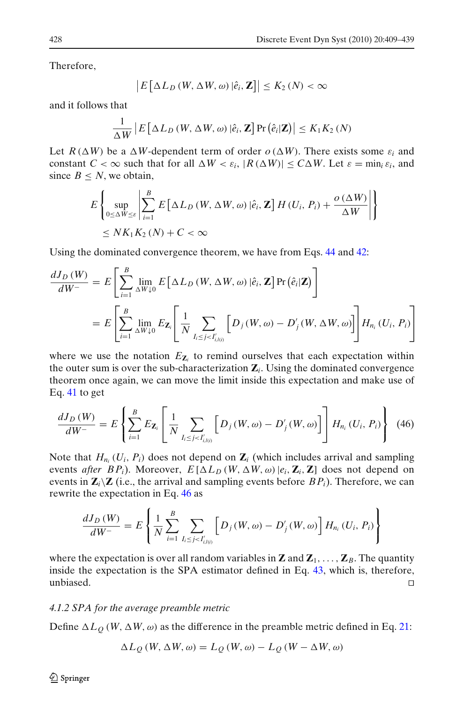<span id="page-19-0"></span>Therefore,

$$
\left|E\left[\Delta L_D\left(W,\Delta W,\omega\right)|\hat{e}_i,\mathbf{Z}\right]\right|\leq K_2\left(N\right)<\infty
$$

and it follows that

$$
\frac{1}{\Delta W} \left| E \left[ \Delta L_D \left( W, \Delta W, \omega \right) | \hat{e}_i, \mathbf{Z} \right] \Pr \left( \hat{e}_i | \mathbf{Z} \right) \right| \leq K_1 K_2 \left( N \right)
$$

Let  $R(\Delta W)$  be a  $\Delta W$ -dependent term of order  $o(\Delta W)$ . There exists some  $\varepsilon_i$  and constant  $C < \infty$  such that for all  $\Delta W < \varepsilon_i$ ,  $|R(\Delta W)| \leq C\Delta W$ . Let  $\varepsilon = \min_i \varepsilon_i$ , and since  $B \leq N$ , we obtain,

$$
E\left\{\sup_{0\le\Delta W\le\varepsilon}\left|\sum_{i=1}^{B}E\left[\Delta L_D(W,\Delta W,\omega)\right|\hat{e}_i,\mathbf{Z}\right]H(U_i,P_i)+\frac{o\left(\Delta W\right)}{\Delta W}\right|\right\}
$$
  

$$
\le N K_1 K_2(N)+C<\infty
$$

Using the dominated convergence theorem, we have from Eqs. [44](#page-18-0) and [42:](#page-17-0)

$$
\frac{dJ_D(W)}{dW^-} = E\left[\sum_{i=1}^B \lim_{\Delta W \downarrow 0} E\left[\Delta L_D(W, \Delta W, \omega)\right|\hat{e}_i, \mathbf{Z}\right] \Pr\left(\hat{e}_i|\mathbf{Z}\right)\right]
$$
\n
$$
= E\left[\sum_{i=1}^B \lim_{\Delta W \downarrow 0} E_{\mathbf{Z}_i}\left[\frac{1}{N} \sum_{I_i \le j < I'_{i,l(0)}} \left[D_j(W, \omega) - D'_j(W, \Delta W, \omega)\right]\right] H_{n_i}(U_i, P_i)\right]
$$

where we use the notation  $E_{\mathbf{Z}_i}$  to remind ourselves that each expectation within the outer sum is over the sub-characterization  $\mathbb{Z}_i$ . Using the dominated convergence theorem once again, we can move the limit inside this expectation and make use of Eq. [41](#page-17-0) to get

$$
\frac{dJ_D(W)}{dW^-} = E\left\{\sum_{i=1}^B E_{\mathbf{Z}_i} \left[ \frac{1}{N} \sum_{I_i \le j < I'_{i,l(i)}} \left[ D_j(W, \omega) - D'_j(W, \omega) \right] \right] H_{n_i}(U_i, P_i) \right\} (46)
$$

Note that  $H_{n_i}(U_i, P_i)$  does not depend on  $\mathbb{Z}_i$  (which includes arrival and sampling events *after BP<sub>i</sub>*). Moreover,  $E[\Delta L_D(W, \Delta W, \omega) | e_i, \mathbf{Z}_i, \mathbf{Z}]$  does not depend on events in  $\mathbf{Z}_i \setminus \mathbf{Z}$  (i.e., the arrival and sampling events before  $BP_i$ ). Therefore, we can rewrite the expectation in Eq. 46 as

$$
\frac{dJ_D(W)}{dW^-} = E\left\{\frac{1}{N}\sum_{i=1}^B \sum_{I_i \le j < I'_{i,l(i)}} \left[D_j(W, \omega) - D'_j(W, \omega)\right] H_{n_i}(U_i, P_i)\right\}
$$

where the expectation is over all random variables in **Z** and  $\mathbf{Z}_1, \ldots, \mathbf{Z}_B$ . The quantity inside the expectation is the SPA estimator defined in Eq. [43,](#page-17-0) which is, therefore, unbiased.

#### *4.1.2 SPA for the average preamble metric*

Define  $\Delta L_O$  (*W*,  $\Delta W$ ,  $\omega$ ) as the difference in the preamble metric defined in Eq. [21:](#page-10-0)

$$
\Delta L_{Q}(W, \Delta W, \omega) = L_{Q}(W, \omega) - L_{Q}(W - \Delta W, \omega)
$$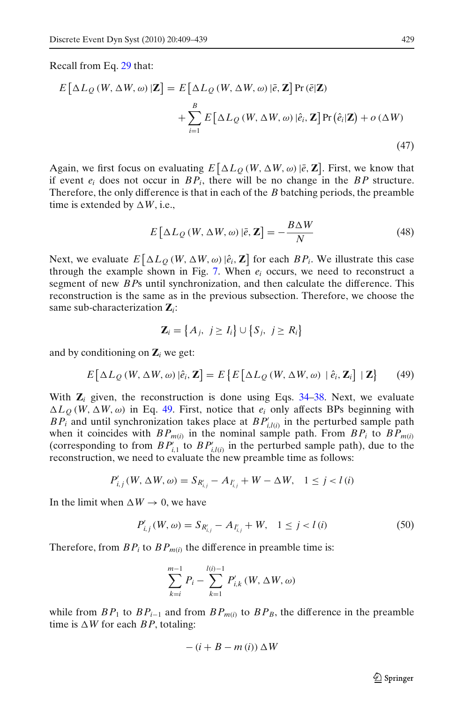<span id="page-20-0"></span>Recall from Eq. [29](#page-14-0) that:

$$
E\left[\Delta L_{Q}\left(W,\Delta W,\omega\right)|\mathbf{Z}\right]=E\left[\Delta L_{Q}\left(W,\Delta W,\omega\right)|\bar{e},\mathbf{Z}\right]\Pr\left(\bar{e}|\mathbf{Z}\right)
$$

$$
+\sum_{i=1}^{B}E\left[\Delta L_{Q}\left(W,\Delta W,\omega\right)|\hat{e}_{i},\mathbf{Z}\right]\Pr\left(\hat{e}_{i}|\mathbf{Z}\right)+o\left(\Delta W\right)
$$
\n(47)

Again, we first focus on evaluating  $E[\Delta L_Q(W, \Delta W, \omega)|\bar{e}, \mathbf{Z}]$ . First, we know that if event  $e_i$  does not occur in  $BP_i$ , there will be no change in the  $BP$  structure. Therefore, the only difference is that in each of the *B* batching periods, the preamble time is extended by  $\Delta W$ , i.e.,

$$
E\left[\Delta L_{Q}\left(W,\Delta W,\omega\right)|\bar{e},\mathbf{Z}\right]=-\frac{B\Delta W}{N}\tag{48}
$$

Next, we evaluate  $E\left[\Delta L_Q(W, \Delta W, \omega)\right|\hat{e}_i, \mathbf{Z}\right]$  for each  $BP_i$ . We illustrate this case through the example shown in Fig. [7.](#page-16-0) When  $e_i$  occurs, we need to reconstruct a segment of new *BP*s until synchronization, and then calculate the difference. This reconstruction is the same as in the previous subsection. Therefore, we choose the same sub-characterization **Z***i*:

$$
\mathbf{Z}_i = \{A_j, j \geq I_i\} \cup \{S_j, j \geq R_i\}
$$

and by conditioning on  $\mathbf{Z}_i$  we get:

$$
E\left[\Delta L_{Q}\left(W,\Delta W,\omega\right)|\hat{e}_{i},\mathbf{Z}\right]=E\left\{E\left[\Delta L_{Q}\left(W,\Delta W,\omega\right)|\hat{e}_{i},\mathbf{Z}_{i}\right]| \mathbf{Z}\right\} \tag{49}
$$

With  $\mathbf{Z}_i$  given, the reconstruction is done using Eqs.  $34-38$ . Next, we evaluate  $\Delta L_0(W, \Delta W, \omega)$  in Eq. 49. First, notice that  $e_i$  only affects BPs beginning with  $BP_i$  and until synchronization takes place at  $BP'_{i,l(i)}$  in the perturbed sample path when it coincides with  $BP_{m(i)}$  in the nominal sample path. From  $BP_i$  to  $BP_{m(i)}$ (corresponding to from  $BP'_{i,1}$  to  $BP'_{i,l(i)}$  in the perturbed sample path), due to the reconstruction, we need to evaluate the new preamble time as follows:

$$
P'_{i,j}(W, \Delta W, \omega) = S_{R'_{i,j}} - A_{I'_{i,j}} + W - \Delta W, \quad 1 \le j < l(i)
$$

In the limit when  $\Delta W \rightarrow 0$ , we have

$$
P'_{i,j}(W,\omega) = S_{R'_{i,j}} - A_{I'_{i,j}} + W, \quad 1 \le j < l(i) \tag{50}
$$

Therefore, from  $BP_i$  to  $BP_{m(i)}$  the difference in preamble time is:

$$
\sum_{k=i}^{m-1} P_i - \sum_{k=1}^{l(i)-1} P'_{i,k} (W, \Delta W, \omega)
$$

while from  $BP_1$  to  $BP_{i-1}$  and from  $BP_{m(i)}$  to  $BP_B$ , the difference in the preamble time is  $\Delta W$  for each *BP*, totaling:

$$
-(i + B - m(i)) \Delta W
$$

 $\textcircled{2}$  Springer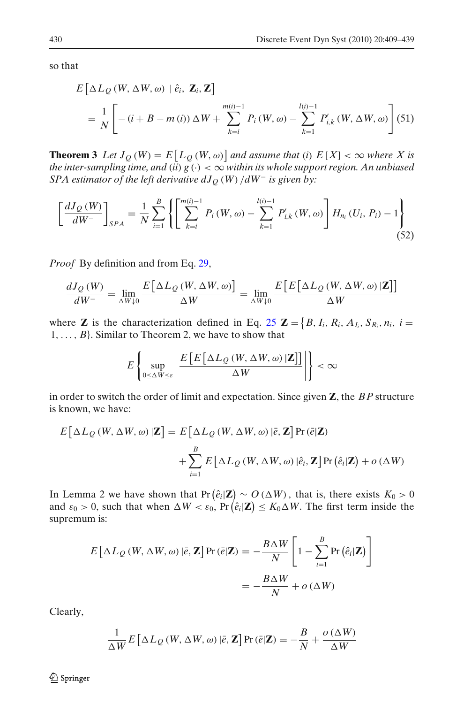<span id="page-21-0"></span>so that

$$
E\left[\Delta L_{Q}\left(W,\Delta W,\omega\right)\mid\hat{e}_{i},\mathbf{Z}_{i},\mathbf{Z}\right]
$$
  
=  $\frac{1}{N}\left[-\left(i+B-m\left(i\right)\right)\Delta W+\sum_{k=i}^{m(i)-1}P_{i}\left(W,\omega\right)-\sum_{k=1}^{l(i)-1}P'_{i,k}\left(W,\Delta W,\omega\right)\right]$ (51)

**Theorem 3** Let  $J_Q(W) = E[L_Q(W, \omega)]$  and assume that (*i*)  $E[X] < \infty$  where X is *the inter-sampling time, and* (*ii*)  $g(\cdot) < \infty$  *within its whole support region. An unbiased SPA estimator of the left derivative dJ<sub>O</sub>* (*W*) /*dW*<sup>−</sup> *is given by:* 

$$
\left[\frac{dJ_{Q}(W)}{dW}\right]_{SPA} = \frac{1}{N} \sum_{i=1}^{B} \left\{ \left[\sum_{k=i}^{m(i)-1} P_{i}(W,\omega) - \sum_{k=1}^{l(i)-1} P'_{i,k}(W,\omega) \right] H_{n_{i}}(U_{i},P_{i}) - 1 \right\}
$$
(52)

*Proof* By definition and from Eq. [29,](#page-14-0)

$$
\frac{dJ_{Q}\left(W\right)}{dW^{-}}=\lim_{\Delta W\downarrow0}\frac{E\left[\Delta L_{Q}\left(W,\Delta W,\omega\right)\right]}{\Delta W}=\lim_{\Delta W\downarrow0}\frac{E\left[E\left[\Delta L_{Q}\left(W,\Delta W,\omega\right)\left|\mathbf{Z}\right.\right]\right]}{\Delta W}
$$

where **Z** is the characterization defined in Eq. [25](#page-11-0)  $\mathbf{Z} = \{B, I_i, R_i, A_{I_i}, S_{R_i}, n_i, i =$ 1,..., *B*}. Similar to Theorem 2, we have to show that

$$
E\left\{\sup_{0\le\Delta W\le\varepsilon}\left|\frac{E\left[E\left[\Delta L_{Q}\left(W,\Delta W,\omega\right)|\mathbf{Z}\right]\right]}{\Delta W}\right|\right\}<\infty
$$

in order to switch the order of limit and expectation. Since given **Z**, the *BP* structure is known, we have:

$$
E[\Delta L_Q(W, \Delta W, \omega) | \mathbf{Z}] = E[\Delta L_Q(W, \Delta W, \omega) | \bar{e}, \mathbf{Z}] Pr (\bar{e} | \mathbf{Z})
$$

$$
+ \sum_{i=1}^{B} E[\Delta L_Q(W, \Delta W, \omega) | \hat{e}_i, \mathbf{Z}] Pr (\hat{e}_i | \mathbf{Z}) + o (\Delta W)
$$

In Lemma 2 we have shown that  $Pr(\hat{e}_i|\mathbf{Z}) \sim O(\Delta W)$ , that is, there exists  $K_0 > 0$ and  $\varepsilon_0 > 0$ , such that when  $\Delta W < \varepsilon_0$ , Pr $(\hat{e}_i | \mathbf{Z}) \leq K_0 \Delta W$ . The first term inside the supremum is:

$$
E\left[\Delta L_{Q}\left(W,\Delta W,\omega\right)|\bar{e},\mathbf{Z}\right]\Pr\left(\bar{e}|\mathbf{Z}\right) = -\frac{B\Delta W}{N}\left[1-\sum_{i=1}^{B}\Pr\left(\hat{e}_{i}|\mathbf{Z}\right)\right]
$$

$$
=-\frac{B\Delta W}{N}+o\left(\Delta W\right)
$$

Clearly,

$$
\frac{1}{\Delta W} E \left[ \Delta L_Q \left( W, \Delta W, \omega \right) | \bar{e}, \mathbf{Z} \right] Pr \left( \bar{e} | \mathbf{Z} \right) = -\frac{B}{N} + \frac{O \left( \Delta W \right)}{\Delta W}
$$

 $\mathcal{Q}$  Springer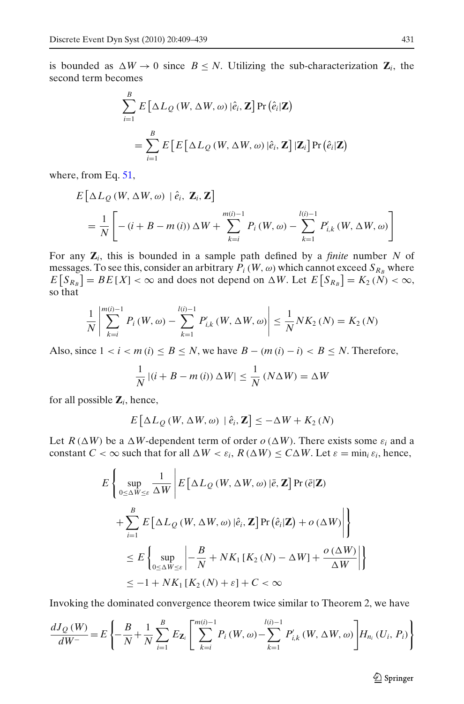is bounded as  $\Delta W \rightarrow 0$  since  $B \leq N$ . Utilizing the sub-characterization  $\mathbb{Z}_i$ , the second term becomes

$$
\sum_{i=1}^{B} E\left[\Delta L_{Q}\left(W,\Delta W,\omega\right)|\hat{e}_{i},\mathbf{Z}\right] \Pr\left(\hat{e}_{i}|\mathbf{Z}\right)
$$
\n
$$
= \sum_{i=1}^{B} E\left[E\left[\Delta L_{Q}\left(W,\Delta W,\omega\right)|\hat{e}_{i},\mathbf{Z}\right]|\mathbf{Z}_{i}\right] \Pr\left(\hat{e}_{i}|\mathbf{Z}\right)
$$

where, from Eq. [51,](#page-21-0)

$$
E\left[\Delta L_{Q}\left(W,\Delta W,\omega\right) \mid \hat{e}_{i}, \mathbf{Z}_{i}, \mathbf{Z}\right]
$$
  
= 
$$
\frac{1}{N}\left[-\left(i+B-m\left(i\right)\right)\Delta W+\sum_{k=i}^{m(i)-1}P_{i}\left(W,\omega\right)-\sum_{k=1}^{l(i)-1}P'_{i,k}\left(W,\Delta W,\omega\right)\right]
$$

For any **Z***i*, this is bounded in a sample path defined by a *finite* number *N* of messages. To see this, consider an arbitrary  $P_i(W, \omega)$  which cannot exceed  $S_{R_B}$  where  $E[S_{R_B}] = BE[X] < \infty$  and does not depend on  $\Delta W$ . Let  $E[S_{R_B}] = K_2(N) < \infty$ , so that

$$
\frac{1}{N} \left| \sum_{k=i}^{m(i)-1} P_i(W, \omega) - \sum_{k=1}^{l(i)-1} P'_{i,k}(W, \Delta W, \omega) \right| \le \frac{1}{N} N K_2(N) = K_2(N)
$$

Also, since  $1 < i < m(i) \le B \le N$ , we have  $B - (m(i) - i) < B \le N$ . Therefore,

$$
\frac{1}{N} |(i + B - m(i)) \Delta W| \le \frac{1}{N} (N \Delta W) = \Delta W
$$

for all possible  $\mathbf{Z}_i$ , hence,

$$
E\left[\Delta L_{Q}\left(W,\Delta W,\omega\right)\mid\hat{e}_{i},\mathbf{Z}\right]\leq-\Delta W+K_{2}\left(N\right)
$$

Let  $R(\Delta W)$  be a  $\Delta W$ -dependent term of order  $o(\Delta W)$ . There exists some  $\varepsilon_i$  and a constant  $C < \infty$  such that for all  $\Delta W < \varepsilon_i$ ,  $R(\Delta W) \leq C\Delta W$ . Let  $\varepsilon = \min_i \varepsilon_i$ , hence,

$$
E\left\{\sup_{0\le\Delta W\le\varepsilon}\frac{1}{\Delta W}\left|E\left[\Delta L_{Q}\left(W,\Delta W,\omega\right)|\bar{e},\mathbf{Z}\right]\Pr\left(\bar{e}|\mathbf{Z}\right)\right.\right.
$$
\n
$$
+\sum_{i=1}^{B}E\left[\Delta L_{Q}\left(W,\Delta W,\omega\right)|\hat{e}_{i},\mathbf{Z}\right]\Pr\left(\hat{e}_{i}|\mathbf{Z}\right)+o\left(\Delta W\right)\right|\right\}
$$
\n
$$
\leq E\left\{\sup_{0\le\Delta W\le\varepsilon}\left|\frac{B}{N}+NK_{1}\left[K_{2}\left(N\right)-\Delta W\right]+\frac{o\left(\Delta W\right)}{\Delta W}\right|\right\}
$$
\n
$$
\leq -1+NK_{1}\left[K_{2}\left(N\right)+\varepsilon\right]+C<\infty
$$

Invoking the dominated convergence theorem twice similar to Theorem 2, we have

$$
\frac{dJ_{Q}(W)}{dW^{-}} = E\left\{-\frac{B}{N} + \frac{1}{N}\sum_{i=1}^{B} E_{\mathbf{Z}_{i}}\left[\sum_{k=i}^{m(i)-1} P_{i}(W,\omega) - \sum_{k=1}^{l(i)-1} P'_{i,k}(W,\Delta W,\omega)\right]H_{n_{i}}(U_{i},P_{i})\right\}
$$

2 Springer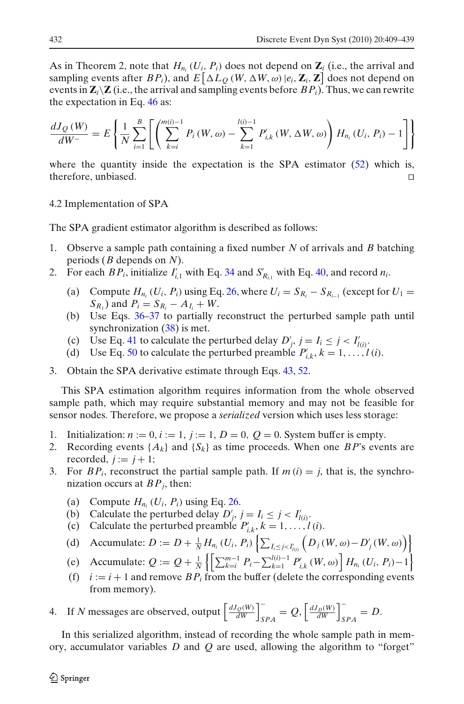As in Theorem 2, note that  $H_{n_i}(U_i, P_i)$  does not depend on  $\mathbb{Z}_i$  (i.e., the arrival and sampling events after  $BP_i$ ), and  $E\left[\Delta L_Q\left(W, \Delta W, \omega\right)|e_i, \mathbf{Z}_i, \mathbf{Z}\right]$  does not depend on events in  $\mathbf{Z}_i \setminus \mathbf{Z}$  (i.e., the arrival and sampling events before  $BP_i$ ). Thus, we can rewrite the expectation in Eq. [46](#page-19-0) as:

$$
\frac{dJ_{Q}(W)}{dW^{-}} = E\left\{\frac{1}{N}\sum_{i=1}^{B}\left[\left(\sum_{k=i}^{m(i)-1}P_{i}(W,\omega)-\sum_{k=1}^{l(i)-1}P'_{i,k}(W,\Delta W,\omega)\right)H_{n_{i}}(U_{i},P_{i})-1\right]\right\}
$$

where the quantity inside the expectation is the SPA estimator  $(52)$  which is, therefore, unbiased.

#### 4.2 Implementation of SPA

The SPA gradient estimator algorithm is described as follows:

- 1. Observe a sample path containing a fixed number *N* of arrivals and *B* batching periods (*B* depends on *N*).
- 2. For each  $BP_i$ , initialize  $I'_{i,1}$  with Eq. [34](#page-16-0) and  $S'_{R_{i,1}}$  with Eq. [40,](#page-17-0) and record  $n_i$ .
	- (a) Compute  $H_{n_i}$  ( $U_i$ ,  $P_i$ ) using Eq. [26,](#page-12-0) where  $U_i = S_{R_i} S_{R_{i-1}}$  (except for  $U_1 =$ *S*<sub>*R*<sub>1</sub></sub> ) and  $P_i = S_{R_i} - A_{I_i} + W$ .
	- (b) Use Eqs. [36–37](#page-17-0) to partially reconstruct the perturbed sample path until synchronization  $(38)$  is met.
	- (c) Use Eq. [41](#page-17-0) to calculate the perturbed delay  $D'_j$ ,  $j = I_i \le j < I'_{l(i)}$ .
	- (d) Use Eq. [50](#page-20-0) to calculate the perturbed preamble  $P'_{i,k}$ ,  $k = 1, \ldots, l(i)$ .
- 3. Obtain the SPA derivative estimate through Eqs. [43,](#page-17-0) [52.](#page-21-0)

This SPA estimation algorithm requires information from the whole observed sample path, which may require substantial memory and may not be feasible for sensor nodes. Therefore, we propose a *serialized* version which uses less storage:

- 1. Initialization:  $n := 0$ ,  $i := 1$ ,  $j := 1$ ,  $D = 0$ ,  $Q = 0$ . System buffer is empty.
- 2. Recording events  $\{A_k\}$  and  $\{S_k\}$  as time proceeds. When one *BP*'s events are recorded,  $j := j + 1$ ;
- 3. For  $BP_i$ , reconstruct the partial sample path. If  $m(i) = j$ , that is, the synchronization occurs at  $BP_i$ , then:
	- (a) Compute  $H_n$ ;  $(U_i, P_i)$  using Eq. [26.](#page-12-0)
	- (b) Calculate the perturbed delay  $D'_j$ ,  $j = I_i \le j < I'_{l(i)}$ .
	- (c) Calculate the perturbed preamble  $P'_{i,k}$ ,  $k = 1, \ldots, l$  *(i)*.
	- (d) Accumulate:  $D := D + \frac{1}{N} H_{n_i} (U_i, P_i) \left\{ \sum_{I_i \leq j < I'_{l(i)}} \left( D_j(W, \omega) D'_j(W, \omega) \right) \right\}$
	- (e) Accumulate:  $Q := Q + \frac{1}{N} \left\{ \left[ \sum_{k=i}^{m-1} P_i \sum_{k=1}^{l(i)-1} P'_{i,k}(W, \omega) \right] H_{n_i}(U_i, P_i) 1 \right\}$
	- (f)  $i := i + 1$  and remove  $BP_i$  from the buffer (delete the corresponding events from memory).

4. If *N* messages are observed, output  $\left[\frac{dJ_Q(W)}{dW}\right]_{SPA}^{-} = Q$ ,  $\left[\frac{dJ_D(W)}{dW}\right]_{SPA}^{-} = D$ .

In this serialized algorithm, instead of recording the whole sample path in memory, accumulator variables *D* and *Q* are used, allowing the algorithm to "forget"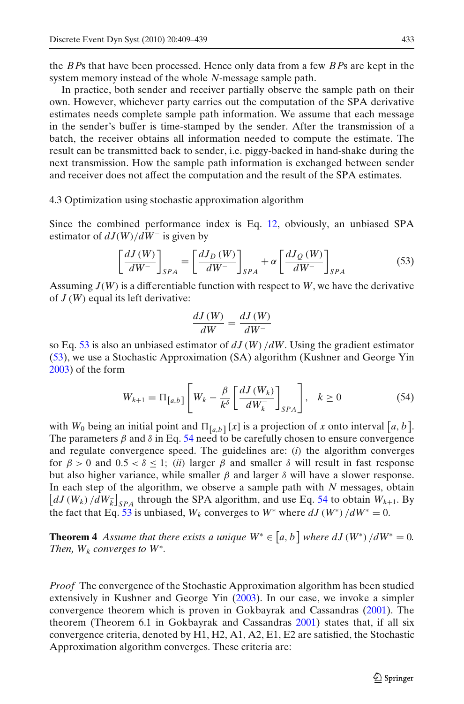<span id="page-24-0"></span>the *BP*s that have been processed. Hence only data from a few *BP*s are kept in the system memory instead of the whole *N*-message sample path.

In practice, both sender and receiver partially observe the sample path on their own. However, whichever party carries out the computation of the SPA derivative estimates needs complete sample path information. We assume that each message in the sender's buffer is time-stamped by the sender. After the transmission of a batch, the receiver obtains all information needed to compute the estimate. The result can be transmitted back to sender, i.e. piggy-backed in hand-shake during the next transmission. How the sample path information is exchanged between sender and receiver does not affect the computation and the result of the SPA estimates.

#### 4.3 Optimization using stochastic approximation algorithm

Since the combined performance index is Eq. [12,](#page-8-0) obviously, an unbiased SPA estimator of *dJ*(*W*)/*dW*<sup>−</sup> is given by

$$
\left[\frac{dJ\left(W\right)}{dW}\right]_{SPA} = \left[\frac{dJ_{D}\left(W\right)}{dW}\right]_{SPA} + \alpha \left[\frac{dJ_{Q}\left(W\right)}{dW}\right]_{SPA}
$$
(53)

Assuming *J*(*W*) is a differentiable function with respect to *W*, we have the derivative of *J* (*W*) equal its left derivative:

$$
\frac{dJ\left(W\right)}{dW} = \frac{dJ\left(W\right)}{dW^-}
$$

so Eq. 53 is also an unbiased estimator of *dJ* (*W*) /*dW*. Using the gradient estimator (53), we use a Stochastic Approximation (SA) algorithm (Kushner and George Yi[n](#page-29-0) [2003\)](#page-29-0) of the form

$$
W_{k+1} = \Pi_{[a,b]} \left[ W_k - \frac{\beta}{k^{\delta}} \left[ \frac{dJ(W_k)}{dW_k^-} \right]_{SPA} \right], \quad k \ge 0 \tag{54}
$$

with  $W_0$  being an initial point and  $\Pi_{[a,b]}[x]$  is a projection of *x* onto interval  $[a, b]$ . The parameters  $\beta$  and  $\delta$  in Eq. 54 need to be carefully chosen to ensure convergence and regulate convergence speed. The guidelines are: (*i*) the algorithm converges for  $\beta > 0$  and  $0.5 < \delta \leq 1$ ; (*ii*) larger  $\beta$  and smaller  $\delta$  will result in fast response but also higher variance, while smaller β and larger  $\delta$  will have a slower response. In each step of the algorithm, we observe a sample path with *N* messages, obtain  $\left[dJ(W_k)/dW_{\overline{k}}\right]_{SPA}$  through the SPA algorithm, and use Eq. 54 to obtain  $W_{k+1}$ . By the fact that Eq. 53 is unbiased,  $W_k$  converges to  $W^*$  where  $dJ(W^*)/dW^* = 0$ .

**Theorem 4** *Assume that there exists a unique*  $W^* \in [a, b]$  *where dJ* ( $W^*$ ) / $dW^* = 0$ *. Then, Wk converges to W*<sup>∗</sup>*.*

*Proof* The convergence of the Stochastic Approximation algorithm has been studied extensively in Kushner and George Yi[n](#page-29-0) [\(2003\)](#page-29-0). In our case, we invoke a simpler convergence theorem which is proven in Gokbayrak and Cassandra[s](#page-29-0) [\(2001](#page-29-0)). The theorem (Theorem 6.1 in Gokbayrak and Cassandras [2001\)](#page-29-0) states that, if all six convergence criteria, denoted by H1, H2, A1, A2, E1, E2 are satisfied, the Stochastic Approximation algorithm converges. These criteria are: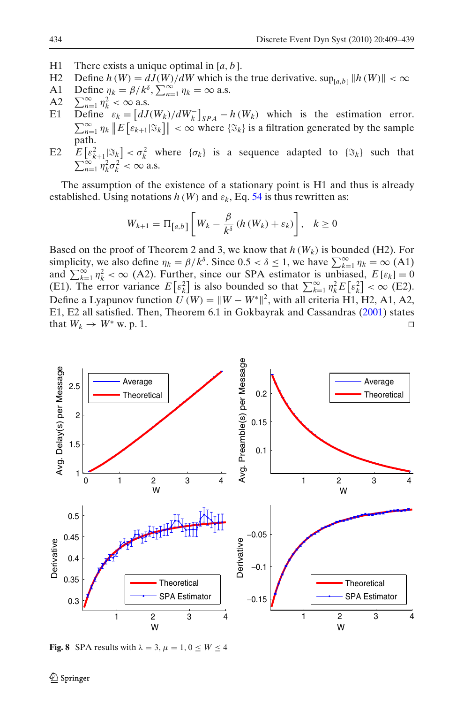- <span id="page-25-0"></span>H1 There exists a unique optimal in [*a*, *b*].
- H2 Define  $h(W) = dJ(W)/dW$  which is the true derivative.  $\sup_{[a,b]} ||h(W)|| < \infty$ <br>A1 Define  $n_k = \frac{\beta}{k^{\delta}}$ .  $\sum_{n_k = \infty}^{\infty}$  a.s.
- A1 Define  $\eta_k = \beta/k^{\delta}$ ,  $\sum_{n=1}^{\infty} \eta_k = \infty$  a.s.
- A2  $\sum_{n=1}^{\infty} \eta_k^2 < \infty$  a.s.
- E1 Define  $\varepsilon_k = \left[dJ(W_k)/dW_k^-\right]_{SPA} h(W_k)$  which is the estimation error.  $\sum_{n=1}^{\infty} \eta_k \left\| E \left[ \varepsilon_{k+1} | \mathfrak{F}_k \right] \right\| < \infty$  where  $\{ \mathfrak{F}_k \}$  is a filtration generated by the sample path.
- E2  $E\left[\varepsilon_{k+1}^2|\mathfrak{F}_k\right] < \sigma_k^2$  where  $\{\sigma_k\}$  is a sequence adapted to  $\{\mathfrak{F}_k\}$  such that  $\sum_{n=1}^{\infty} \eta_k^2 \sigma_k^2 < \infty$  a.s.

The assumption of the existence of a stationary point is H1 and thus is already established. Using notations  $h(W)$  and  $\varepsilon_k$ , Eq. [54](#page-24-0) is thus rewritten as:

$$
W_{k+1} = \Pi_{[a,b]} \left[ W_k - \frac{\beta}{k^{\delta}} \left( h \left( W_k \right) + \varepsilon_k \right) \right], \quad k \ge 0
$$

Based on the proof of Theorem 2 and 3, we know that  $h(W_k)$  is bounded (H2). For simplicity, we also define  $\eta_k = \beta / k^{\delta}$ . Since  $0.5 < \delta \le 1$ , we have  $\sum_{k=1}^{\infty} \eta_k = \infty$  (A1) and  $\sum_{k=1}^{\infty} \eta_k^2 < \infty$  (A2). Further, since our SPA estimator is unbiased,  $E[\varepsilon_k] = 0$ (E1). The error variance  $E\left[\varepsilon_k^2\right]$  is also bounded so that  $\sum_{k=1}^{\infty} \eta_k^2 E\left[\varepsilon_k^2\right] < \infty$  (E2). Define a Lyapunov function  $U(W) = ||W - W^*||^2$ , with all criteria H1, H2, A1, A2, E1, E2 all satisfied. Then, Theorem 6.1 in Gokbayrak and Cassandra[s](#page-29-0) [\(2001\)](#page-29-0) states that  $W_k \to W^*$  w. p. 1.



**Fig. 8** SPA results with  $\lambda = 3$ ,  $\mu = 1$ ,  $0 \le W \le 4$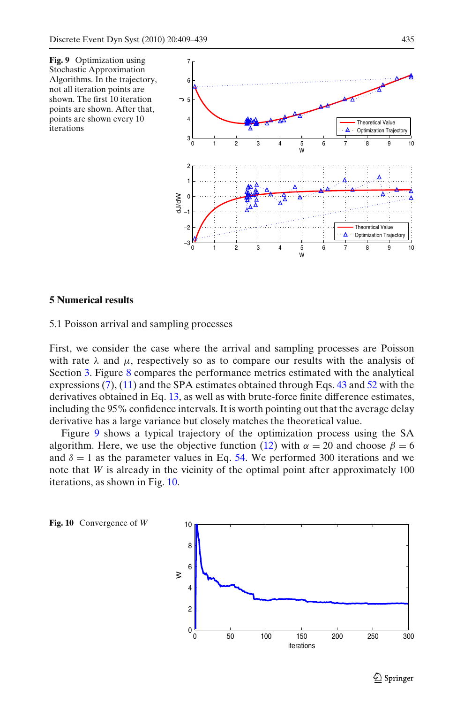<span id="page-26-0"></span>

#### **5 Numerical results**

5.1 Poisson arrival and sampling processes

First, we consider the case where the arrival and sampling processes are Poisson with rate  $\lambda$  and  $\mu$ , respectively so as to compare our results with the analysis of Section [3.](#page-5-0) Figure [8](#page-25-0) compares the performance metrics estimated with the analytical expressions  $(7)$ ,  $(11)$  and the SPA estimates obtained through Eqs. [43](#page-17-0) and [52](#page-21-0) with the derivatives obtained in Eq. [13,](#page-8-0) as well as with brute-force finite difference estimates, including the 95% confidence intervals. It is worth pointing out that the average delay derivative has a large variance but closely matches the theoretical value.

Figure 9 shows a typical trajectory of the optimization process using the SA algorithm. Here, we use the objective function [\(12\)](#page-8-0) with  $\alpha = 20$  and choose  $\beta = 6$ and  $\delta = 1$  as the parameter values in Eq. [54.](#page-24-0) We performed 300 iterations and we note that *W* is already in the vicinity of the optimal point after approximately 100 iterations, as shown in Fig. 10.

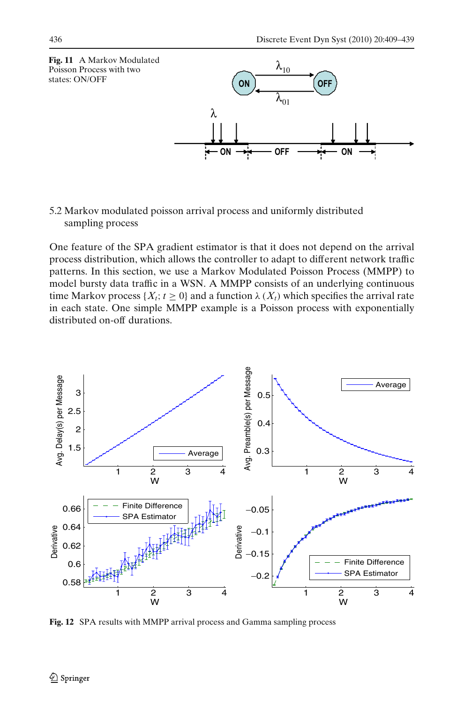<span id="page-27-0"></span>

# 5.2 Markov modulated poisson arrival process and uniformly distributed sampling process

One feature of the SPA gradient estimator is that it does not depend on the arrival process distribution, which allows the controller to adapt to different network traffic patterns. In this section, we use a Markov Modulated Poisson Process (MMPP) to model bursty data traffic in a WSN. A MMPP consists of an underlying continuous time Markov process  $\{X_t; t \geq 0\}$  and a function  $\lambda(X_t)$  which specifies the arrival rate in each state. One simple MMPP example is a Poisson process with exponentially distributed on-off durations.



**Fig. 12** SPA results with MMPP arrival process and Gamma sampling process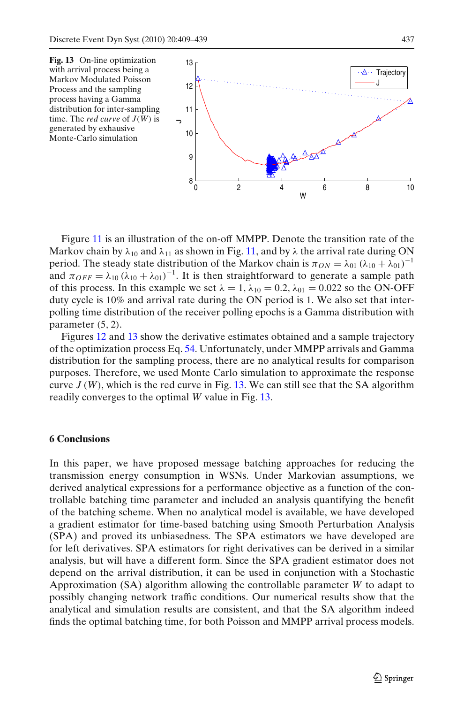<span id="page-28-0"></span>

Figure [11](#page-27-0) is an illustration of the on-off MMPP. Denote the transition rate of the Markov chain by  $\lambda_{10}$  and  $\lambda_{11}$  as shown in Fig. [11,](#page-27-0) and by  $\lambda$  the arrival rate during ON period. The steady state distribution of the Markov chain is  $\pi_{ON} = \lambda_{01} (\lambda_{10} + \lambda_{01})^{-1}$ and  $\pi_{OFF} = \lambda_{10} (\lambda_{10} + \lambda_{01})^{-1}$ . It is then straightforward to generate a sample path of this process. In this example we set  $\lambda = 1$ ,  $\lambda_{10} = 0.2$ ,  $\lambda_{01} = 0.022$  so the ON-OFF duty cycle is 10% and arrival rate during the ON period is 1. We also set that interpolling time distribution of the receiver polling epochs is a Gamma distribution with parameter (5, 2).

Figures [12](#page-27-0) and 13 show the derivative estimates obtained and a sample trajectory of the optimization process Eq. [54.](#page-24-0) Unfortunately, under MMPP arrivals and Gamma distribution for the sampling process, there are no analytical results for comparison purposes. Therefore, we used Monte Carlo simulation to approximate the response curve  $J(W)$ , which is the red curve in Fig. 13. We can still see that the SA algorithm readily converges to the optimal *W* value in Fig. 13.

## **6 Conclusions**

In this paper, we have proposed message batching approaches for reducing the transmission energy consumption in WSNs. Under Markovian assumptions, we derived analytical expressions for a performance objective as a function of the controllable batching time parameter and included an analysis quantifying the benefit of the batching scheme. When no analytical model is available, we have developed a gradient estimator for time-based batching using Smooth Perturbation Analysis (SPA) and proved its unbiasedness. The SPA estimators we have developed are for left derivatives. SPA estimators for right derivatives can be derived in a similar analysis, but will have a different form. Since the SPA gradient estimator does not depend on the arrival distribution, it can be used in conjunction with a Stochastic Approximation (SA) algorithm allowing the controllable parameter *W* to adapt to possibly changing network traffic conditions. Our numerical results show that the analytical and simulation results are consistent, and that the SA algorithm indeed finds the optimal batching time, for both Poisson and MMPP arrival process models.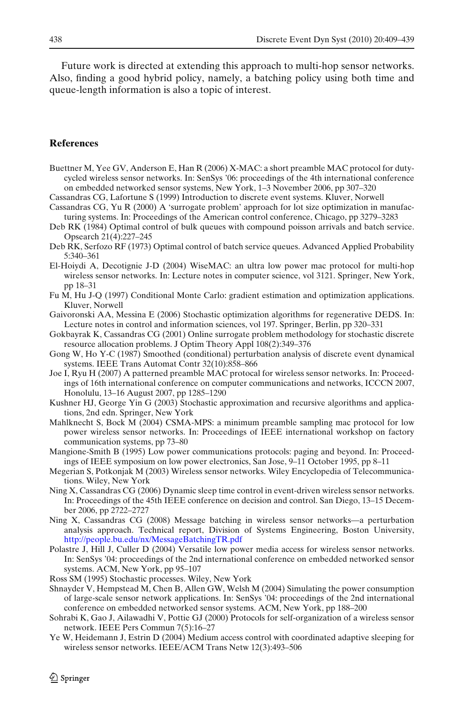<span id="page-29-0"></span>Future work is directed at extending this approach to multi-hop sensor networks. Also, finding a good hybrid policy, namely, a batching policy using both time and queue-length information is also a topic of interest.

### **References**

- Buettner M, Yee GV, Anderson E, Han R (2006) X-MAC: a short preamble MAC protocol for dutycycled wireless sensor networks. In: SenSys '06: proceedings of the 4th international conference on embedded networked sensor systems, New York, 1–3 November 2006, pp 307–320
- Cassandras CG, Lafortune S (1999) Introduction to discrete event systems. Kluver, Norwell Cassandras CG, Yu R (2000) A 'surrogate problem' approach for lot size optimization in manufacturing systems. In: Proceedings of the American control conference, Chicago, pp 3279–3283
- Deb RK (1984) Optimal control of bulk queues with compound poisson arrivals and batch service. Opsearch 21(4):227–245
- Deb RK, Serfozo RF (1973) Optimal control of batch service queues. Advanced Applied Probability 5:340–361
- El-Hoiydi A, Decotignie J-D (2004) WiseMAC: an ultra low power mac protocol for multi-hop wireless sensor networks. In: Lecture notes in computer science, vol 3121. Springer, New York, pp 18–31
- Fu M, Hu J-Q (1997) Conditional Monte Carlo: gradient estimation and optimization applications. Kluver, Norwell
- Gaivoronski AA, Messina E (2006) Stochastic optimization algorithms for regenerative DEDS. In: Lecture notes in control and information sciences, vol 197. Springer, Berlin, pp 320–331
- Gokbayrak K, Cassandras CG (2001) Online surrogate problem methodology for stochastic discrete resource allocation problems. J Optim Theory Appl 108(2):349–376
- Gong W, Ho Y-C (1987) Smoothed (conditional) perturbation analysis of discrete event dynamical systems. IEEE Trans Automat Contr 32(10):858–866
- Joe I, Ryu H (2007) A patterned preamble MAC protocal for wireless sensor networks. In: Proceedings of 16th international conference on computer communications and networks, ICCCN 2007, Honolulu, 13–16 August 2007, pp 1285–1290
- Kushner HJ, George Yin G (2003) Stochastic approximation and recursive algorithms and applications, 2nd edn. Springer, New York
- Mahlknecht S, Bock M (2004) CSMA-MPS: a minimum preamble sampling mac protocol for low power wireless sensor networks. In: Proceedings of IEEE international workshop on factory communication systems, pp 73–80
- Mangione-Smith B (1995) Low power communications protocols: paging and beyond. In: Proceedings of IEEE symposium on low power electronics, San Jose, 9–11 October 1995, pp 8–11
- Megerian S, Potkonjak M (2003) Wireless sensor networks. Wiley Encyclopedia of Telecommunications. Wiley, New York
- Ning X, Cassandras CG (2006) Dynamic sleep time control in event-driven wireless sensor networks. In: Proceedings of the 45th IEEE conference on decision and control. San Diego, 13–15 December 2006, pp 2722–2727
- Ning X, Cassandras CG (2008) Message batching in wireless sensor networks—a perturbation analysis approach. Technical report, Division of Systems Engineering, Boston University, <http://people.bu.edu/nx/MessageBatchingTR.pdf>
- Polastre J, Hill J, Culler D (2004) Versatile low power media access for wireless sensor networks. In: SenSys '04: proceedings of the 2nd international conference on embedded networked sensor systems. ACM, New York, pp 95–107
- Ross SM (1995) Stochastic processes. Wiley, New York
- Shnayder V, Hempstead M, Chen B, Allen GW, Welsh M (2004) Simulating the power consumption of large-scale sensor network applications. In: SenSys '04: proceedings of the 2nd international conference on embedded networked sensor systems. ACM, New York, pp 188–200
- Sohrabi K, Gao J, Ailawadhi V, Pottie GJ (2000) Protocols for self-organization of a wireless sensor network. IEEE Pers Commun 7(5):16–27
- Ye W, Heidemann J, Estrin D (2004) Medium access control with coordinated adaptive sleeping for wireless sensor networks. IEEE/ACM Trans Netw 12(3):493–506